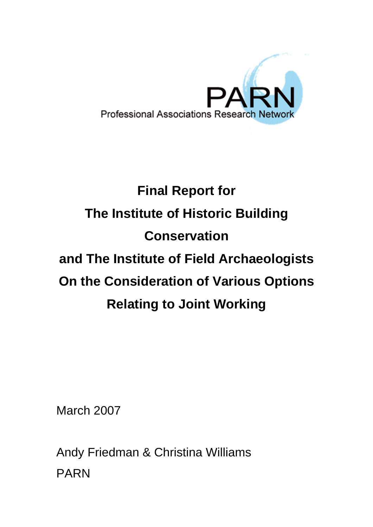

# **Final Report for The Institute of Historic Building Conservation and The Institute of Field Archaeologists On the Consideration of Various Options Relating to Joint Working**

March 2007

Andy Friedman & Christina Williams PARN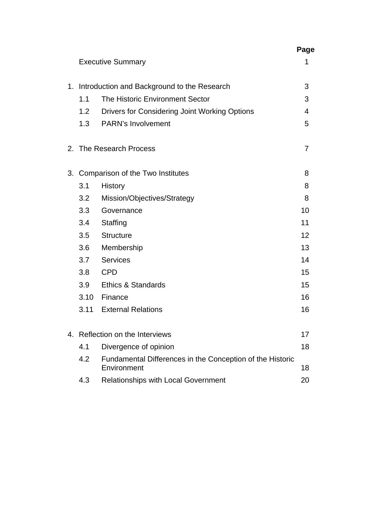|  |                                                |                                                                          | Page |  |  |
|--|------------------------------------------------|--------------------------------------------------------------------------|------|--|--|
|  |                                                | <b>Executive Summary</b>                                                 | 1    |  |  |
|  | 1. Introduction and Background to the Research |                                                                          |      |  |  |
|  | 1.1                                            | The Historic Environment Sector                                          | 3    |  |  |
|  | 1.2                                            | Drivers for Considering Joint Working Options                            | 4    |  |  |
|  | 1.3                                            | <b>PARN's Involvement</b>                                                | 5    |  |  |
|  |                                                | 2. The Research Process                                                  | 7    |  |  |
|  | 3. Comparison of the Two Institutes            |                                                                          |      |  |  |
|  | 3.1                                            | History                                                                  | 8    |  |  |
|  | 3.2                                            | Mission/Objectives/Strategy                                              | 8    |  |  |
|  | 3.3                                            | Governance                                                               | 10   |  |  |
|  | 3.4                                            | Staffing                                                                 | 11   |  |  |
|  | 3.5                                            | <b>Structure</b>                                                         | 12   |  |  |
|  | 3.6                                            | Membership                                                               | 13   |  |  |
|  | 3.7                                            | <b>Services</b>                                                          | 14   |  |  |
|  | 3.8                                            | <b>CPD</b>                                                               | 15   |  |  |
|  | 3.9                                            | <b>Ethics &amp; Standards</b>                                            | 15   |  |  |
|  | 3.10                                           | Finance                                                                  | 16   |  |  |
|  | 3.11                                           | <b>External Relations</b>                                                | 16   |  |  |
|  | 4. Reflection on the Interviews                |                                                                          |      |  |  |
|  | 4.1                                            | Divergence of opinion                                                    | 18   |  |  |
|  | 4.2                                            | Fundamental Differences in the Conception of the Historic<br>Environment |      |  |  |
|  | 4.3                                            | Relationships with Local Government                                      | 20   |  |  |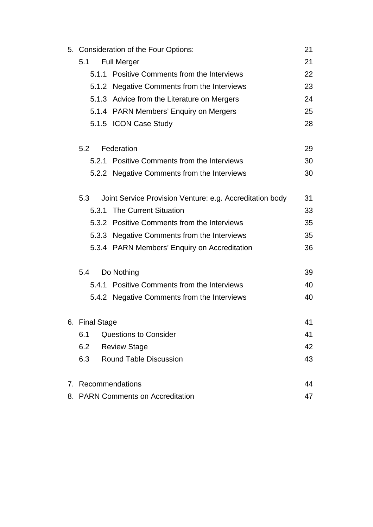|  | 5. Consideration of the Four Options:   |  |                                                                                            |    |  |  |  |
|--|-----------------------------------------|--|--------------------------------------------------------------------------------------------|----|--|--|--|
|  | 5.1                                     |  | <b>Full Merger</b>                                                                         | 21 |  |  |  |
|  |                                         |  | 5.1.1 Positive Comments from the Interviews                                                | 22 |  |  |  |
|  |                                         |  | 5.1.2 Negative Comments from the Interviews                                                | 23 |  |  |  |
|  |                                         |  | 5.1.3 Advice from the Literature on Mergers                                                | 24 |  |  |  |
|  |                                         |  | 5.1.4 PARN Members' Enquiry on Mergers                                                     |    |  |  |  |
|  |                                         |  | 5.1.5 ICON Case Study                                                                      | 28 |  |  |  |
|  | 5.2                                     |  | Federation                                                                                 | 29 |  |  |  |
|  |                                         |  | 5.2.1 Positive Comments from the Interviews                                                | 30 |  |  |  |
|  |                                         |  | 5.2.2 Negative Comments from the Interviews                                                | 30 |  |  |  |
|  | 5.3                                     |  | Joint Service Provision Venture: e.g. Accreditation body                                   |    |  |  |  |
|  | 5.3.1                                   |  | <b>The Current Situation</b>                                                               | 33 |  |  |  |
|  |                                         |  | 5.3.2 Positive Comments from the Interviews<br>5.3.3 Negative Comments from the Interviews |    |  |  |  |
|  |                                         |  |                                                                                            |    |  |  |  |
|  |                                         |  | 5.3.4 PARN Members' Enquiry on Accreditation                                               | 36 |  |  |  |
|  | Do Nothing<br>5.4                       |  |                                                                                            |    |  |  |  |
|  |                                         |  | 5.4.1 Positive Comments from the Interviews                                                | 40 |  |  |  |
|  |                                         |  | 5.4.2 Negative Comments from the Interviews                                                | 40 |  |  |  |
|  | 6. Final Stage                          |  |                                                                                            |    |  |  |  |
|  | 6.1                                     |  | <b>Questions to Consider</b>                                                               | 41 |  |  |  |
|  | 6.2                                     |  | <b>Review Stage</b>                                                                        | 42 |  |  |  |
|  | 6.3                                     |  | <b>Round Table Discussion</b>                                                              | 43 |  |  |  |
|  |                                         |  | 7. Recommendations                                                                         | 44 |  |  |  |
|  | 8. PARN Comments on Accreditation<br>47 |  |                                                                                            |    |  |  |  |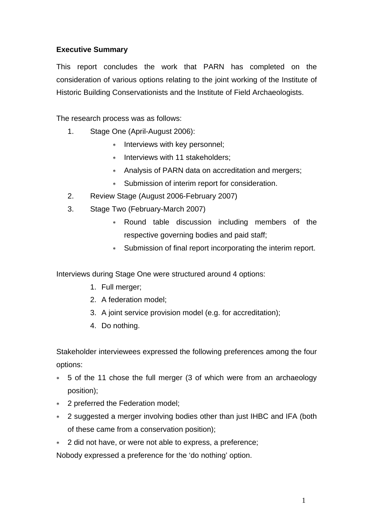## **Executive Summary**

This report concludes the work that PARN has completed on the consideration of various options relating to the joint working of the Institute of Historic Building Conservationists and the Institute of Field Archaeologists.

The research process was as follows:

- 1. Stage One (April-August 2006):
	- ∗ Interviews with key personnel;
	- ∗ Interviews with 11 stakeholders;
	- ∗ Analysis of PARN data on accreditation and mergers;
	- ∗ Submission of interim report for consideration.
- 2. Review Stage (August 2006-February 2007)
- 3. Stage Two (February-March 2007)
	- ∗ Round table discussion including members of the respective governing bodies and paid staff;
	- ∗ Submission of final report incorporating the interim report.

Interviews during Stage One were structured around 4 options:

- 1. Full merger;
- 2. A federation model;
- 3. A joint service provision model (e.g. for accreditation);
- 4. Do nothing.

Stakeholder interviewees expressed the following preferences among the four options:

- ∗ 5 of the 11 chose the full merger (3 of which were from an archaeology position);
- ∗ 2 preferred the Federation model;
- ∗ 2 suggested a merger involving bodies other than just IHBC and IFA (both of these came from a conservation position);
- ∗ 2 did not have, or were not able to express, a preference;

Nobody expressed a preference for the 'do nothing' option.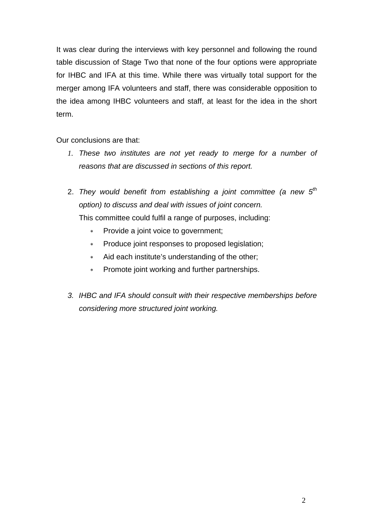It was clear during the interviews with key personnel and following the round table discussion of Stage Two that none of the four options were appropriate for IHBC and IFA at this time. While there was virtually total support for the merger among IFA volunteers and staff, there was considerable opposition to the idea among IHBC volunteers and staff, at least for the idea in the short term.

Our conclusions are that:

- *1. These two institutes are not yet ready to merge for a number of reasons that are discussed in sections of this report.*
- 2. *They would benefit from establishing a joint committee (a new 5th option) to discuss and deal with issues of joint concern.* This committee could fulfil a range of purposes, including:
	- ∗ Provide a joint voice to government;
	- ∗ Produce joint responses to proposed legislation;
	- ∗ Aid each institute's understanding of the other;
	- ∗ Promote joint working and further partnerships.
- *3. IHBC and IFA should consult with their respective memberships before considering more structured joint working.*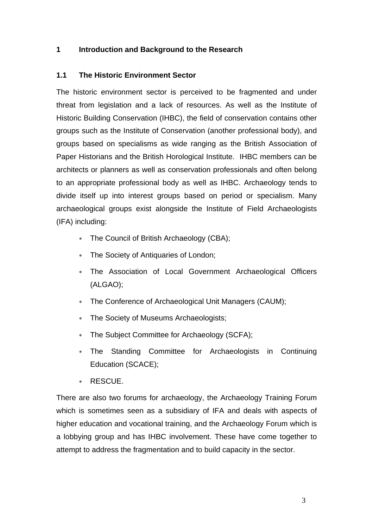## **1 Introduction and Background to the Research**

## **1.1 The Historic Environment Sector**

The historic environment sector is perceived to be fragmented and under threat from legislation and a lack of resources. As well as the Institute of Historic Building Conservation (IHBC), the field of conservation contains other groups such as the Institute of Conservation (another professional body), and groups based on specialisms as wide ranging as the British Association of Paper Historians and the British Horological Institute. IHBC members can be architects or planners as well as conservation professionals and often belong to an appropriate professional body as well as IHBC. Archaeology tends to divide itself up into interest groups based on period or specialism. Many archaeological groups exist alongside the Institute of Field Archaeologists (IFA) including:

- ∗ The Council of British Archaeology (CBA);
- ∗ The Society of Antiquaries of London;
- ∗ The Association of Local Government Archaeological Officers (ALGAO);
- ∗ The Conference of Archaeological Unit Managers (CAUM);
- ∗ The Society of Museums Archaeologists;
- The Subject Committee for Archaeology (SCFA);
- The Standing Committee for Archaeologists in Continuing Education (SCACE);
- ∗ RESCUE.

There are also two forums for archaeology, the Archaeology Training Forum which is sometimes seen as a subsidiary of IFA and deals with aspects of higher education and vocational training, and the Archaeology Forum which is a lobbying group and has IHBC involvement. These have come together to attempt to address the fragmentation and to build capacity in the sector.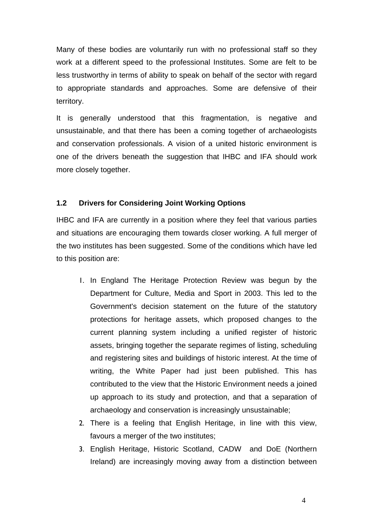Many of these bodies are voluntarily run with no professional staff so they work at a different speed to the professional Institutes. Some are felt to be less trustworthy in terms of ability to speak on behalf of the sector with regard to appropriate standards and approaches. Some are defensive of their territory.

It is generally understood that this fragmentation, is negative and unsustainable, and that there has been a coming together of archaeologists and conservation professionals. A vision of a united historic environment is one of the drivers beneath the suggestion that IHBC and IFA should work more closely together.

## **1.2 Drivers for Considering Joint Working Options**

IHBC and IFA are currently in a position where they feel that various parties and situations are encouraging them towards closer working. A full merger of the two institutes has been suggested. Some of the conditions which have led to this position are:

- 1. In England The Heritage Protection Review was begun by the Department for Culture, Media and Sport in 2003. This led to the Government's decision statement on the future of the statutory protections for heritage assets, which proposed changes to the current planning system including a unified register of historic assets, bringing together the separate regimes of listing, scheduling and registering sites and buildings of historic interest. At the time of writing, the White Paper had just been published. This has contributed to the view that the Historic Environment needs a joined up approach to its study and protection, and that a separation of archaeology and conservation is increasingly unsustainable;
- 2. There is a feeling that English Heritage, in line with this view, favours a merger of the two institutes;
- 3. English Heritage, Historic Scotland, CADW and DoE (Northern Ireland) are increasingly moving away from a distinction between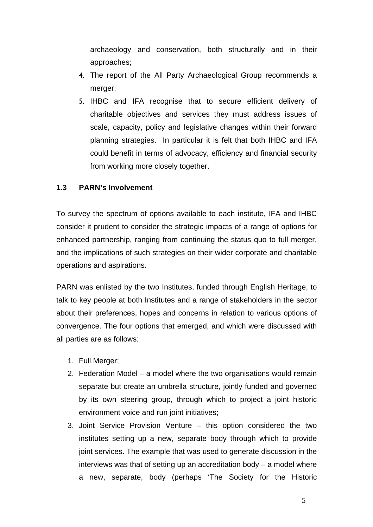archaeology and conservation, both structurally and in their approaches;

- 4. The report of the All Party Archaeological Group recommends a merger;
- 5. IHBC and IFA recognise that to secure efficient delivery of charitable objectives and services they must address issues of scale, capacity, policy and legislative changes within their forward planning strategies. In particular it is felt that both IHBC and IFA could benefit in terms of advocacy, efficiency and financial security from working more closely together.

## **1.3 PARN's Involvement**

To survey the spectrum of options available to each institute, IFA and IHBC consider it prudent to consider the strategic impacts of a range of options for enhanced partnership, ranging from continuing the status quo to full merger, and the implications of such strategies on their wider corporate and charitable operations and aspirations.

PARN was enlisted by the two Institutes, funded through English Heritage, to talk to key people at both Institutes and a range of stakeholders in the sector about their preferences, hopes and concerns in relation to various options of convergence. The four options that emerged, and which were discussed with all parties are as follows:

- 1. Full Merger;
- 2. Federation Model a model where the two organisations would remain separate but create an umbrella structure, jointly funded and governed by its own steering group, through which to project a joint historic environment voice and run joint initiatives;
- 3. Joint Service Provision Venture this option considered the two institutes setting up a new, separate body through which to provide joint services. The example that was used to generate discussion in the interviews was that of setting up an accreditation body – a model where a new, separate, body (perhaps 'The Society for the Historic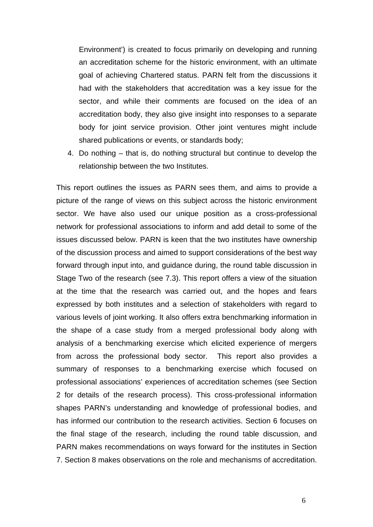Environment') is created to focus primarily on developing and running an accreditation scheme for the historic environment, with an ultimate goal of achieving Chartered status. PARN felt from the discussions it had with the stakeholders that accreditation was a key issue for the sector, and while their comments are focused on the idea of an accreditation body, they also give insight into responses to a separate body for joint service provision. Other joint ventures might include shared publications or events, or standards body;

4. Do nothing – that is, do nothing structural but continue to develop the relationship between the two Institutes.

This report outlines the issues as PARN sees them, and aims to provide a picture of the range of views on this subject across the historic environment sector. We have also used our unique position as a cross-professional network for professional associations to inform and add detail to some of the issues discussed below. PARN is keen that the two institutes have ownership of the discussion process and aimed to support considerations of the best way forward through input into, and guidance during, the round table discussion in Stage Two of the research (see 7.3). This report offers a view of the situation at the time that the research was carried out, and the hopes and fears expressed by both institutes and a selection of stakeholders with regard to various levels of joint working. It also offers extra benchmarking information in the shape of a case study from a merged professional body along with analysis of a benchmarking exercise which elicited experience of mergers from across the professional body sector. This report also provides a summary of responses to a benchmarking exercise which focused on professional associations' experiences of accreditation schemes (see Section 2 for details of the research process). This cross-professional information shapes PARN's understanding and knowledge of professional bodies, and has informed our contribution to the research activities. Section 6 focuses on the final stage of the research, including the round table discussion, and PARN makes recommendations on ways forward for the institutes in Section 7. Section 8 makes observations on the role and mechanisms of accreditation.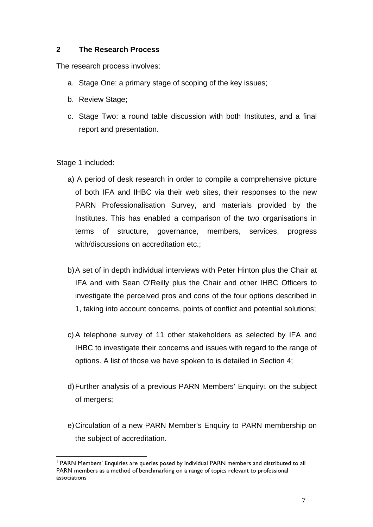## **2 The Research Process**

The research process involves:

- a. Stage One: a primary stage of scoping of the key issues;
- b. Review Stage;
- c. Stage Two: a round table discussion with both Institutes, and a final report and presentation.

Stage 1 included:

- a) A period of desk research in order to compile a comprehensive picture of both IFA and IHBC via their web sites, their responses to the new PARN Professionalisation Survey, and materials provided by the Institutes. This has enabled a comparison of the two organisations in terms of structure, governance, members, services, progress with/discussions on accreditation etc.;
- b) A set of in depth individual interviews with Peter Hinton plus the Chair at IFA and with Sean O'Reilly plus the Chair and other IHBC Officers to investigate the perceived pros and cons of the four options described in 1, taking into account concerns, points of conflict and potential solutions;
- c) A telephone survey of 11 other stakeholders as selected by IFA and IHBC to investigate their concerns and issues with regard to the range of options. A list of those we have spoken to is detailed in Section 4;
- d) Further analysis of a previous PARN Members' Enquiry<sub>1</sub> on the subject of mergers;
- e) Circulation of a new PARN Member's Enquiry to PARN membership on the subject of accreditation.

 $\overline{a}$ <sup>1</sup> PARN Members' Enquiries are queries posed by individual PARN members and distributed to all PARN members as a method of benchmarking on a range of topics relevant to professional associations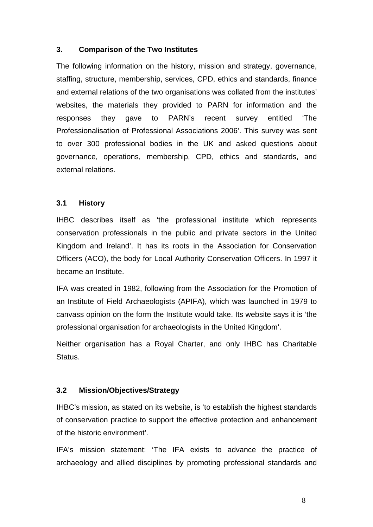## **3. Comparison of the Two Institutes**

The following information on the history, mission and strategy, governance, staffing, structure, membership, services, CPD, ethics and standards, finance and external relations of the two organisations was collated from the institutes' websites, the materials they provided to PARN for information and the responses they gave to PARN's recent survey entitled 'The Professionalisation of Professional Associations 2006'. This survey was sent to over 300 professional bodies in the UK and asked questions about governance, operations, membership, CPD, ethics and standards, and external relations.

#### **3.1 History**

IHBC describes itself as 'the professional institute which represents conservation professionals in the public and private sectors in the United Kingdom and Ireland'. It has its roots in the Association for Conservation Officers (ACO), the body for Local Authority Conservation Officers. In 1997 it became an Institute.

IFA was created in 1982, following from the Association for the Promotion of an Institute of Field Archaeologists (APIFA), which was launched in 1979 to canvass opinion on the form the Institute would take. Its website says it is 'the professional organisation for archaeologists in the United Kingdom'.

Neither organisation has a Royal Charter, and only IHBC has Charitable Status.

## **3.2 Mission/Objectives/Strategy**

IHBC's mission, as stated on its website, is 'to establish the highest standards of conservation practice to support the effective protection and enhancement of the historic environment'.

IFA's mission statement: 'The IFA exists to advance the practice of archaeology and allied disciplines by promoting professional standards and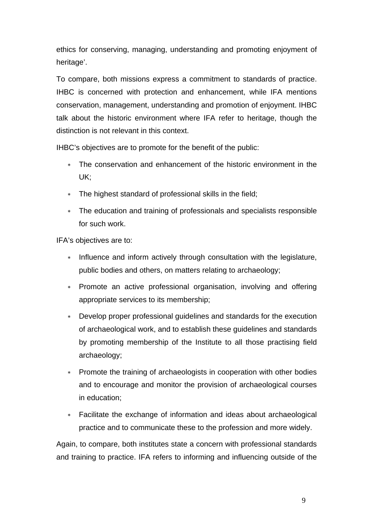ethics for conserving, managing, understanding and promoting enjoyment of heritage'.

To compare, both missions express a commitment to standards of practice. IHBC is concerned with protection and enhancement, while IFA mentions conservation, management, understanding and promotion of enjoyment. IHBC talk about the historic environment where IFA refer to heritage, though the distinction is not relevant in this context.

IHBC's objectives are to promote for the benefit of the public:

- The conservation and enhancement of the historic environment in the UK;
- ∗ The highest standard of professional skills in the field;
- ∗ The education and training of professionals and specialists responsible for such work.

IFA's objectives are to:

- ∗ Influence and inform actively through consultation with the legislature, public bodies and others, on matters relating to archaeology;
- ∗ Promote an active professional organisation, involving and offering appropriate services to its membership;
- ∗ Develop proper professional guidelines and standards for the execution of archaeological work, and to establish these guidelines and standards by promoting membership of the Institute to all those practising field archaeology;
- Promote the training of archaeologists in cooperation with other bodies and to encourage and monitor the provision of archaeological courses in education;
- ∗ Facilitate the exchange of information and ideas about archaeological practice and to communicate these to the profession and more widely.

Again, to compare, both institutes state a concern with professional standards and training to practice. IFA refers to informing and influencing outside of the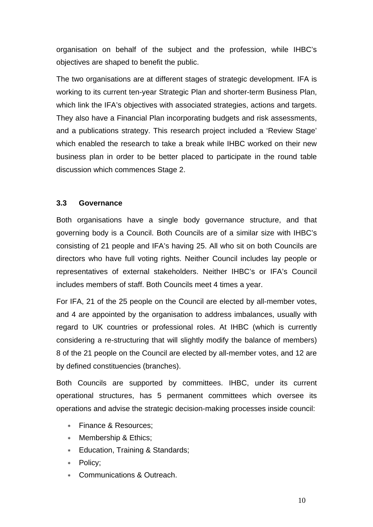organisation on behalf of the subject and the profession, while IHBC's objectives are shaped to benefit the public.

The two organisations are at different stages of strategic development. IFA is working to its current ten-year Strategic Plan and shorter-term Business Plan, which link the IFA's objectives with associated strategies, actions and targets. They also have a Financial Plan incorporating budgets and risk assessments, and a publications strategy. This research project included a 'Review Stage' which enabled the research to take a break while IHBC worked on their new business plan in order to be better placed to participate in the round table discussion which commences Stage 2.

## **3.3 Governance**

Both organisations have a single body governance structure, and that governing body is a Council. Both Councils are of a similar size with IHBC's consisting of 21 people and IFA's having 25. All who sit on both Councils are directors who have full voting rights. Neither Council includes lay people or representatives of external stakeholders. Neither IHBC's or IFA's Council includes members of staff. Both Councils meet 4 times a year.

For IFA, 21 of the 25 people on the Council are elected by all-member votes, and 4 are appointed by the organisation to address imbalances, usually with regard to UK countries or professional roles. At IHBC (which is currently considering a re-structuring that will slightly modify the balance of members) 8 of the 21 people on the Council are elected by all-member votes, and 12 are by defined constituencies (branches).

Both Councils are supported by committees. IHBC, under its current operational structures, has 5 permanent committees which oversee its operations and advise the strategic decision-making processes inside council:

- ∗ Finance & Resources;
- ∗ Membership & Ethics;
- ∗ Education, Training & Standards;
- ∗ Policy;
- Communications & Outreach.

10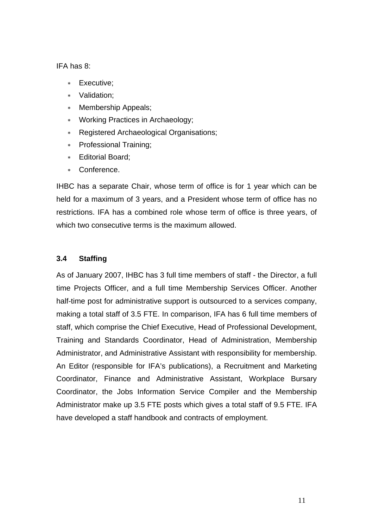IFA has 8:

- Executive:
- ∗ Validation;
- ∗ Membership Appeals;
- ∗ Working Practices in Archaeology;
- ∗ Registered Archaeological Organisations;
- ∗ Professional Training;
- ∗ Editorial Board;
- ∗ Conference.

IHBC has a separate Chair, whose term of office is for 1 year which can be held for a maximum of 3 years, and a President whose term of office has no restrictions. IFA has a combined role whose term of office is three years, of which two consecutive terms is the maximum allowed.

## **3.4 Staffing**

As of January 2007, IHBC has 3 full time members of staff - the Director, a full time Projects Officer, and a full time Membership Services Officer. Another half-time post for administrative support is outsourced to a services company, making a total staff of 3.5 FTE. In comparison, IFA has 6 full time members of staff, which comprise the Chief Executive, Head of Professional Development, Training and Standards Coordinator, Head of Administration, Membership Administrator, and Administrative Assistant with responsibility for membership. An Editor (responsible for IFA's publications), a Recruitment and Marketing Coordinator, Finance and Administrative Assistant, Workplace Bursary Coordinator, the Jobs Information Service Compiler and the Membership Administrator make up 3.5 FTE posts which gives a total staff of 9.5 FTE. IFA have developed a staff handbook and contracts of employment.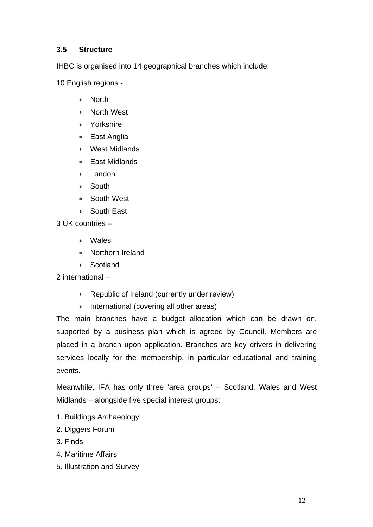## **3.5 Structure**

IHBC is organised into 14 geographical branches which include:

10 English regions -

- ∗ North
- ∗ North West
- ∗ Yorkshire
- ∗ East Anglia
- ∗ West Midlands
- ∗ East Midlands
- ∗ London
- ∗ South
- ∗ South West
- ∗ South East

3 UK countries –

- ∗ Wales
- ∗ Northern Ireland
- ∗ Scotland

2 international –

- ∗ Republic of Ireland (currently under review)
- ∗ International (covering all other areas)

The main branches have a budget allocation which can be drawn on, supported by a business plan which is agreed by Council. Members are placed in a branch upon application. Branches are key drivers in delivering services locally for the membership, in particular educational and training events.

Meanwhile, IFA has only three 'area groups' – Scotland, Wales and West Midlands – alongside five special interest groups:

- 1. Buildings Archaeology
- 2. Diggers Forum
- 3. Finds
- 4. Maritime Affairs
- 5. Illustration and Survey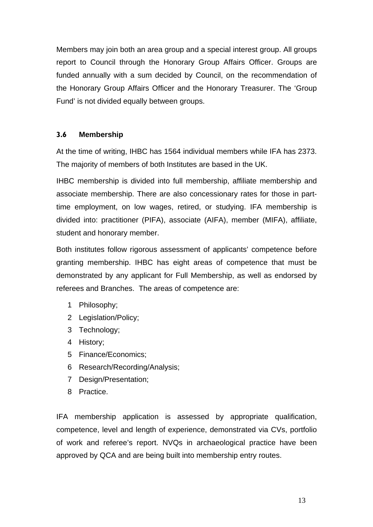Members may join both an area group and a special interest group. All groups report to Council through the Honorary Group Affairs Officer. Groups are funded annually with a sum decided by Council, on the recommendation of the Honorary Group Affairs Officer and the Honorary Treasurer. The 'Group Fund' is not divided equally between groups.

## **3.6 Membership**

At the time of writing, IHBC has 1564 individual members while IFA has 2373. The majority of members of both Institutes are based in the UK.

IHBC membership is divided into full membership, affiliate membership and associate membership. There are also concessionary rates for those in parttime employment, on low wages, retired, or studying. IFA membership is divided into: practitioner (PIFA), associate (AIFA), member (MIFA), affiliate, student and honorary member.

Both institutes follow rigorous assessment of applicants' competence before granting membership. IHBC has eight areas of competence that must be demonstrated by any applicant for Full Membership, as well as endorsed by referees and Branches. The areas of competence are:

- 1 Philosophy;
- 2 Legislation/Policy;
- 3 Technology;
- 4 History;
- 5 Finance/Economics;
- 6 Research/Recording/Analysis;
- 7 Design/Presentation;
- 8 Practice.

IFA membership application is assessed by appropriate qualification, competence, level and length of experience, demonstrated via CVs, portfolio of work and referee's report. NVQs in archaeological practice have been approved by QCA and are being built into membership entry routes.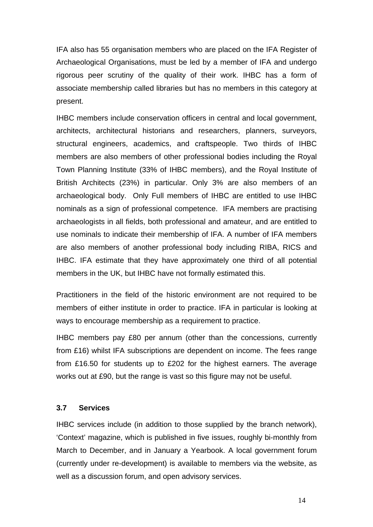IFA also has 55 organisation members who are placed on the IFA Register of Archaeological Organisations, must be led by a member of IFA and undergo rigorous peer scrutiny of the quality of their work. IHBC has a form of associate membership called libraries but has no members in this category at present.

IHBC members include conservation officers in central and local government, architects, architectural historians and researchers, planners, surveyors, structural engineers, academics, and craftspeople. Two thirds of IHBC members are also members of other professional bodies including the Royal Town Planning Institute (33% of IHBC members), and the Royal Institute of British Architects (23%) in particular. Only 3% are also members of an archaeological body. Only Full members of IHBC are entitled to use IHBC nominals as a sign of professional competence. IFA members are practising archaeologists in all fields, both professional and amateur, and are entitled to use nominals to indicate their membership of IFA. A number of IFA members are also members of another professional body including RIBA, RICS and IHBC. IFA estimate that they have approximately one third of all potential members in the UK, but IHBC have not formally estimated this.

Practitioners in the field of the historic environment are not required to be members of either institute in order to practice. IFA in particular is looking at ways to encourage membership as a requirement to practice.

IHBC members pay £80 per annum (other than the concessions, currently from £16) whilst IFA subscriptions are dependent on income. The fees range from £16.50 for students up to £202 for the highest earners. The average works out at £90, but the range is vast so this figure may not be useful.

## **3.7 Services**

IHBC services include (in addition to those supplied by the branch network), 'Context' magazine, which is published in five issues, roughly bi-monthly from March to December, and in January a Yearbook. A local government forum (currently under re-development) is available to members via the website, as well as a discussion forum, and open advisory services.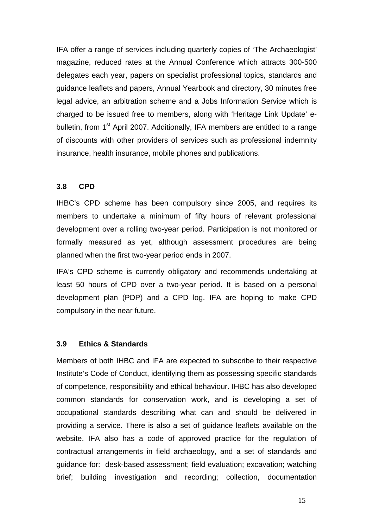IFA offer a range of services including quarterly copies of 'The Archaeologist' magazine, reduced rates at the Annual Conference which attracts 300-500 delegates each year, papers on specialist professional topics, standards and guidance leaflets and papers, Annual Yearbook and directory, 30 minutes free legal advice, an arbitration scheme and a Jobs Information Service which is charged to be issued free to members, along with 'Heritage Link Update' ebulletin, from 1<sup>st</sup> April 2007. Additionally, IFA members are entitled to a range of discounts with other providers of services such as professional indemnity insurance, health insurance, mobile phones and publications.

#### **3.8 CPD**

IHBC's CPD scheme has been compulsory since 2005, and requires its members to undertake a minimum of fifty hours of relevant professional development over a rolling two-year period. Participation is not monitored or formally measured as yet, although assessment procedures are being planned when the first two-year period ends in 2007.

IFA's CPD scheme is currently obligatory and recommends undertaking at least 50 hours of CPD over a two-year period. It is based on a personal development plan (PDP) and a CPD log. IFA are hoping to make CPD compulsory in the near future.

#### **3.9 Ethics & Standards**

Members of both IHBC and IFA are expected to subscribe to their respective Institute's Code of Conduct, identifying them as possessing specific standards of competence, responsibility and ethical behaviour. IHBC has also developed common standards for conservation work, and is developing a set of occupational standards describing what can and should be delivered in providing a service. There is also a set of guidance leaflets available on the website. IFA also has a code of approved practice for the regulation of contractual arrangements in field archaeology, and a set of standards and guidance for: desk-based assessment; field evaluation; excavation; watching brief; building investigation and recording; collection, documentation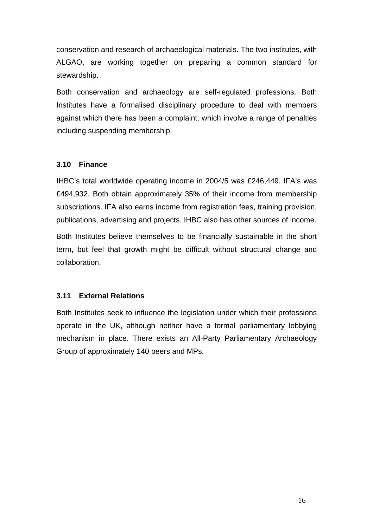conservation and research of archaeological materials. The two institutes, with ALGAO, are working together on preparing a common standard for stewardship.

Both conservation and archaeology are self-regulated professions. Both Institutes have a formalised disciplinary procedure to deal with members against which there has been a complaint, which involve a range of penalties including suspending membership.

#### **3.10 Finance**

IHBC's total worldwide operating income in 2004/5 was £246,449. IFA's was £494,932. Both obtain approximately 35% of their income from membership subscriptions. IFA also earns income from registration fees, training provision, publications, advertising and projects. IHBC also has other sources of income.

Both Institutes believe themselves to be financially sustainable in the short term, but feel that growth might be difficult without structural change and collaboration.

#### **3.11 External Relations**

Both Institutes seek to influence the legislation under which their professions operate in the UK, although neither have a formal parliamentary lobbying mechanism in place. There exists an All-Party Parliamentary Archaeology Group of approximately 140 peers and MPs.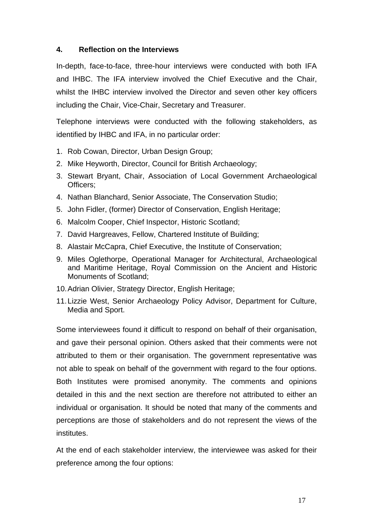## **4. Reflection on the Interviews**

In-depth, face-to-face, three-hour interviews were conducted with both IFA and IHBC. The IFA interview involved the Chief Executive and the Chair, whilst the IHBC interview involved the Director and seven other key officers including the Chair, Vice-Chair, Secretary and Treasurer.

Telephone interviews were conducted with the following stakeholders, as identified by IHBC and IFA, in no particular order:

- 1. Rob Cowan, Director, Urban Design Group;
- 2. Mike Heyworth, Director, Council for British Archaeology;
- 3. Stewart Bryant, Chair, Association of Local Government Archaeological Officers;
- 4. Nathan Blanchard, Senior Associate, The Conservation Studio;
- 5. John Fidler, (former) Director of Conservation, English Heritage;
- 6. Malcolm Cooper, Chief Inspector, Historic Scotland;
- 7. David Hargreaves, Fellow, Chartered Institute of Building;
- 8. Alastair McCapra, Chief Executive, the Institute of Conservation;
- 9. Miles Oglethorpe, Operational Manager for Architectural, Archaeological and Maritime Heritage, Royal Commission on the Ancient and Historic Monuments of Scotland;
- 10. Adrian Olivier, Strategy Director, English Heritage;
- 11. Lizzie West, Senior Archaeology Policy Advisor, Department for Culture, Media and Sport.

Some interviewees found it difficult to respond on behalf of their organisation, and gave their personal opinion. Others asked that their comments were not attributed to them or their organisation. The government representative was not able to speak on behalf of the government with regard to the four options. Both Institutes were promised anonymity. The comments and opinions detailed in this and the next section are therefore not attributed to either an individual or organisation. It should be noted that many of the comments and perceptions are those of stakeholders and do not represent the views of the institutes.

At the end of each stakeholder interview, the interviewee was asked for their preference among the four options: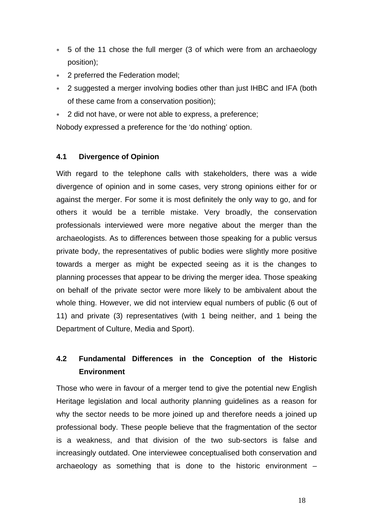- ∗ 5 of the 11 chose the full merger (3 of which were from an archaeology position);
- ∗ 2 preferred the Federation model;
- ∗ 2 suggested a merger involving bodies other than just IHBC and IFA (both of these came from a conservation position);
- 2 did not have, or were not able to express, a preference;

Nobody expressed a preference for the 'do nothing' option.

#### **4.1 Divergence of Opinion**

With regard to the telephone calls with stakeholders, there was a wide divergence of opinion and in some cases, very strong opinions either for or against the merger. For some it is most definitely the only way to go, and for others it would be a terrible mistake. Very broadly, the conservation professionals interviewed were more negative about the merger than the archaeologists. As to differences between those speaking for a public versus private body, the representatives of public bodies were slightly more positive towards a merger as might be expected seeing as it is the changes to planning processes that appear to be driving the merger idea. Those speaking on behalf of the private sector were more likely to be ambivalent about the whole thing. However, we did not interview equal numbers of public (6 out of 11) and private (3) representatives (with 1 being neither, and 1 being the Department of Culture, Media and Sport).

## **4.2 Fundamental Differences in the Conception of the Historic Environment**

Those who were in favour of a merger tend to give the potential new English Heritage legislation and local authority planning guidelines as a reason for why the sector needs to be more joined up and therefore needs a joined up professional body. These people believe that the fragmentation of the sector is a weakness, and that division of the two sub-sectors is false and increasingly outdated. One interviewee conceptualised both conservation and archaeology as something that is done to the historic environment –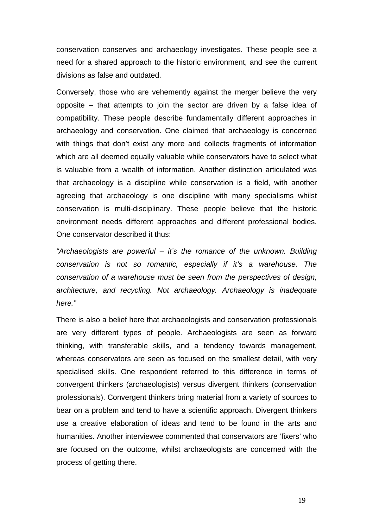conservation conserves and archaeology investigates. These people see a need for a shared approach to the historic environment, and see the current divisions as false and outdated.

Conversely, those who are vehemently against the merger believe the very opposite – that attempts to join the sector are driven by a false idea of compatibility. These people describe fundamentally different approaches in archaeology and conservation. One claimed that archaeology is concerned with things that don't exist any more and collects fragments of information which are all deemed equally valuable while conservators have to select what is valuable from a wealth of information. Another distinction articulated was that archaeology is a discipline while conservation is a field, with another agreeing that archaeology is one discipline with many specialisms whilst conservation is multi-disciplinary. These people believe that the historic environment needs different approaches and different professional bodies. One conservator described it thus:

*"Archaeologists are powerful – it's the romance of the unknown. Building conservation is not so romantic, especially if it's a warehouse. The conservation of a warehouse must be seen from the perspectives of design, architecture, and recycling. Not archaeology. Archaeology is inadequate here."* 

There is also a belief here that archaeologists and conservation professionals are very different types of people. Archaeologists are seen as forward thinking, with transferable skills, and a tendency towards management, whereas conservators are seen as focused on the smallest detail, with very specialised skills. One respondent referred to this difference in terms of convergent thinkers (archaeologists) versus divergent thinkers (conservation professionals). Convergent thinkers bring material from a variety of sources to bear on a problem and tend to have a scientific approach. Divergent thinkers use a creative elaboration of ideas and tend to be found in the arts and humanities. Another interviewee commented that conservators are 'fixers' who are focused on the outcome, whilst archaeologists are concerned with the process of getting there.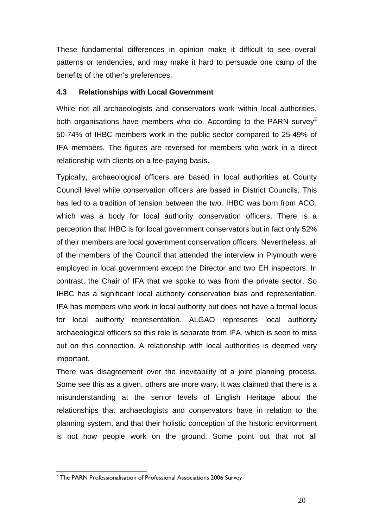These fundamental differences in opinion make it difficult to see overall patterns or tendencies, and may make it hard to persuade one camp of the benefits of the other's preferences.

## **4.3 Relationships with Local Government**

While not all archaeologists and conservators work within local authorities, both organisations have members who do. According to the PARN survey<sup>2</sup> 50-74% of IHBC members work in the public sector compared to 25-49% of IFA members. The figures are reversed for members who work in a direct relationship with clients on a fee-paying basis.

Typically, archaeological officers are based in local authorities at County Council level while conservation officers are based in District Councils. This has led to a tradition of tension between the two. IHBC was born from ACO, which was a body for local authority conservation officers. There is a perception that IHBC is for local government conservators but in fact only 52% of their members are local government conservation officers. Nevertheless, all of the members of the Council that attended the interview in Plymouth were employed in local government except the Director and two EH inspectors. In contrast, the Chair of IFA that we spoke to was from the private sector. So IHBC has a significant local authority conservation bias and representation. IFA has members who work in local authority but does not have a formal locus for local authority representation. ALGAO represents local authority archaeological officers so this role is separate from IFA, which is seen to miss out on this connection. A relationship with local authorities is deemed very important.

There was disagreement over the inevitability of a joint planning process. Some see this as a given, others are more wary. It was claimed that there is a misunderstanding at the senior levels of English Heritage about the relationships that archaeologists and conservators have in relation to the planning system, and that their holistic conception of the historic environment is not how people work on the ground. Some point out that not all

 2 The PARN Professionalisation of Professional Associations 2006 Survey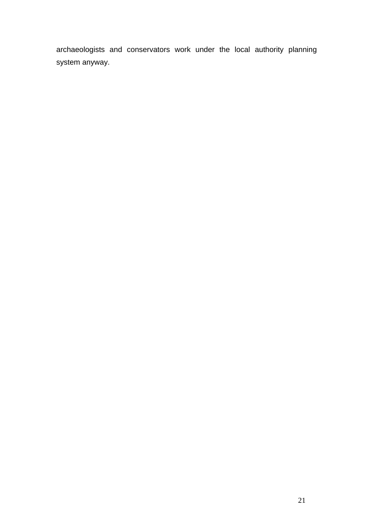archaeologists and conservators work under the local authority planning system anyway.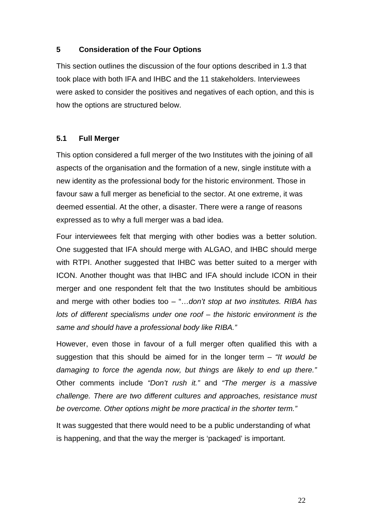## **5 Consideration of the Four Options**

This section outlines the discussion of the four options described in 1.3 that took place with both IFA and IHBC and the 11 stakeholders. Interviewees were asked to consider the positives and negatives of each option, and this is how the options are structured below.

## **5.1 Full Merger**

This option considered a full merger of the two Institutes with the joining of all aspects of the organisation and the formation of a new, single institute with a new identity as the professional body for the historic environment. Those in favour saw a full merger as beneficial to the sector. At one extreme, it was deemed essential. At the other, a disaster. There were a range of reasons expressed as to why a full merger was a bad idea.

Four interviewees felt that merging with other bodies was a better solution. One suggested that IFA should merge with ALGAO, and IHBC should merge with RTPI. Another suggested that IHBC was better suited to a merger with ICON. Another thought was that IHBC and IFA should include ICON in their merger and one respondent felt that the two Institutes should be ambitious and merge with other bodies too – "…*don't stop at two institutes. RIBA has lots of different specialisms under one roof – the historic environment is the same and should have a professional body like RIBA."* 

However, even those in favour of a full merger often qualified this with a suggestion that this should be aimed for in the longer term *– "It would be damaging to force the agenda now, but things are likely to end up there."*  Other comments include *"Don't rush it."* and *"The merger is a massive challenge. There are two different cultures and approaches, resistance must be overcome. Other options might be more practical in the shorter term."*

It was suggested that there would need to be a public understanding of what is happening, and that the way the merger is 'packaged' is important.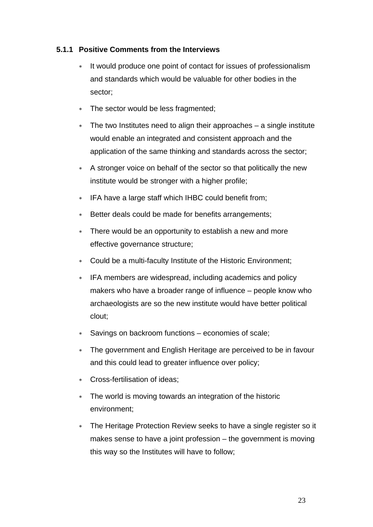## **5.1.1 Positive Comments from the Interviews**

- It would produce one point of contact for issues of professionalism and standards which would be valuable for other bodies in the sector;
- ∗ The sector would be less fragmented;
- ∗ The two Institutes need to align their approaches a single institute would enable an integrated and consistent approach and the application of the same thinking and standards across the sector;
- ∗ A stronger voice on behalf of the sector so that politically the new institute would be stronger with a higher profile;
- ∗ IFA have a large staff which IHBC could benefit from;
- ∗ Better deals could be made for benefits arrangements;
- There would be an opportunity to establish a new and more effective governance structure;
- ∗ Could be a multi-faculty Institute of the Historic Environment;
- ∗ IFA members are widespread, including academics and policy makers who have a broader range of influence – people know who archaeologists are so the new institute would have better political clout;
- Savings on backroom functions economies of scale:
- ∗ The government and English Heritage are perceived to be in favour and this could lead to greater influence over policy;
- ∗ Cross-fertilisation of ideas;
- The world is moving towards an integration of the historic environment;
- ∗ The Heritage Protection Review seeks to have a single register so it makes sense to have a joint profession – the government is moving this way so the Institutes will have to follow;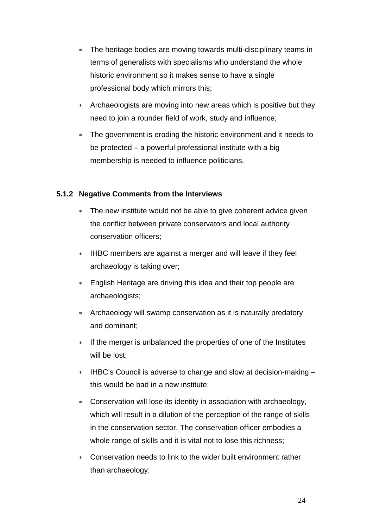- ∗ The heritage bodies are moving towards multi-disciplinary teams in terms of generalists with specialisms who understand the whole historic environment so it makes sense to have a single professional body which mirrors this;
- ∗ Archaeologists are moving into new areas which is positive but they need to join a rounder field of work, study and influence;
- ∗ The government is eroding the historic environment and it needs to be protected – a powerful professional institute with a big membership is needed to influence politicians.

## **5.1.2 Negative Comments from the Interviews**

- ∗ The new institute would not be able to give coherent advice given the conflict between private conservators and local authority conservation officers;
- ∗ IHBC members are against a merger and will leave if they feel archaeology is taking over;
- ∗ English Heritage are driving this idea and their top people are archaeologists;
- ∗ Archaeology will swamp conservation as it is naturally predatory and dominant;
- ∗ If the merger is unbalanced the properties of one of the Institutes will be lost;
- ∗ IHBC's Council is adverse to change and slow at decision-making this would be bad in a new institute;
- ∗ Conservation will lose its identity in association with archaeology, which will result in a dilution of the perception of the range of skills in the conservation sector. The conservation officer embodies a whole range of skills and it is vital not to lose this richness;
- ∗ Conservation needs to link to the wider built environment rather than archaeology;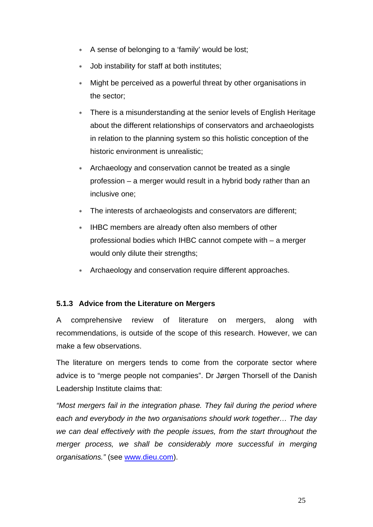- ∗ A sense of belonging to a 'family' would be lost;
- ∗ Job instability for staff at both institutes;
- Might be perceived as a powerful threat by other organisations in the sector;
- There is a misunderstanding at the senior levels of English Heritage about the different relationships of conservators and archaeologists in relation to the planning system so this holistic conception of the historic environment is unrealistic;
- ∗ Archaeology and conservation cannot be treated as a single profession – a merger would result in a hybrid body rather than an inclusive one;
- The interests of archaeologists and conservators are different;
- ∗ IHBC members are already often also members of other professional bodies which IHBC cannot compete with – a merger would only dilute their strengths;
- ∗ Archaeology and conservation require different approaches.

## **5.1.3 Advice from the Literature on Mergers**

A comprehensive review of literature on mergers, along with recommendations, is outside of the scope of this research. However, we can make a few observations.

The literature on mergers tends to come from the corporate sector where advice is to "merge people not companies". Dr Jørgen Thorsell of the Danish Leadership Institute claims that:

*"Most mergers fail in the integration phase. They fail during the period where each and everybody in the two organisations should work together… The day we can deal effectively with the people issues, from the start throughout the merger process, we shall be considerably more successful in merging organisations."* (see www.dieu.com).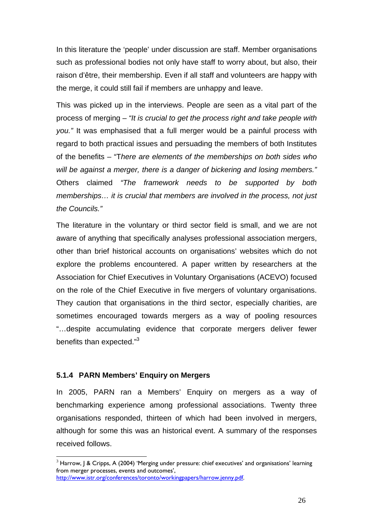In this literature the 'people' under discussion are staff. Member organisations such as professional bodies not only have staff to worry about, but also, their raison d'être, their membership. Even if all staff and volunteers are happy with the merge, it could still fail if members are unhappy and leave.

This was picked up in the interviews. People are seen as a vital part of the process of merging – *"It is crucial to get the process right and take people with you."* It was emphasised that a full merger would be a painful process with regard to both practical issues and persuading the members of both Institutes of the benefits – "T*here are elements of the memberships on both sides who will be against a merger, there is a danger of bickering and losing members."* Others claimed *"The framework needs to be supported by both memberships… it is crucial that members are involved in the process, not just the Councils."* 

The literature in the voluntary or third sector field is small, and we are not aware of anything that specifically analyses professional association mergers, other than brief historical accounts on organisations' websites which do not explore the problems encountered. A paper written by researchers at the Association for Chief Executives in Voluntary Organisations (ACEVO) focused on the role of the Chief Executive in five mergers of voluntary organisations. They caution that organisations in the third sector, especially charities, are sometimes encouraged towards mergers as a way of pooling resources "…despite accumulating evidence that corporate mergers deliver fewer benefits than expected."3

#### **5.1.4 PARN Members' Enquiry on Mergers**

 $\overline{a}$ 

In 2005, PARN ran a Members' Enquiry on mergers as a way of benchmarking experience among professional associations. Twenty three organisations responded, thirteen of which had been involved in mergers, although for some this was an historical event. A summary of the responses received follows.

 $3$  Harrow, J & Cripps, A (2004) 'Merging under pressure: chief executives' and organisations' learning from merger processes, events and outcomes', http://www.istr.org/conferences/toronto/workingpapers/harrow.jenny.pdf.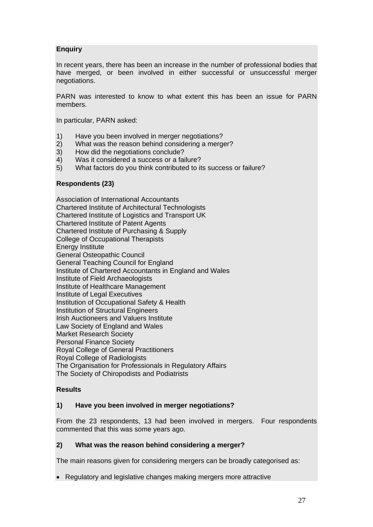#### **Enquiry**

In recent years, there has been an increase in the number of professional bodies that have merged, or been involved in either successful or unsuccessful merger negotiations.

PARN was interested to know to what extent this has been an issue for PARN members.

In particular, PARN asked:

- 1) Have you been involved in merger negotiations?
- 2) What was the reason behind considering a merger?
- 3) How did the negotiations conclude?
- 4) Was it considered a success or a failure?
- 5) What factors do you think contributed to its success or failure?

#### **Respondents (23)**

Association of International Accountants Chartered Institute of Architectural Technologists Chartered Institute of Logistics and Transport UK Chartered Institute of Patent Agents Chartered Institute of Purchasing & Supply College of Occupational Therapists Energy Institute General Osteopathic Council General Teaching Council for England Institute of Chartered Accountants in England and Wales Institute of Field Archaeologists Institute of Healthcare Management Institute of Legal Executives Institution of Occupational Safety & Health Institution of Structural Engineers Irish Auctioneers and Valuers Institute Law Society of England and Wales Market Research Society Personal Finance Society Royal College of General Practitioners Royal College of Radiologists The Organisation for Professionals in Regulatory Affairs The Society of Chiropodists and Podiatrists

#### **Results**

#### **1) Have you been involved in merger negotiations?**

From the 23 respondents, 13 had been involved in mergers. Four respondents commented that this was some years ago.

#### **2) What was the reason behind considering a merger?**

The main reasons given for considering mergers can be broadly categorised as:

• Regulatory and legislative changes making mergers more attractive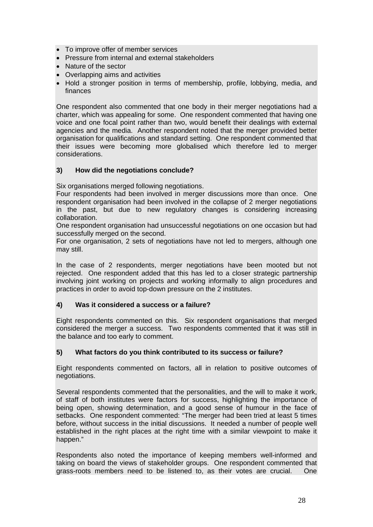- To improve offer of member services
- Pressure from internal and external stakeholders
- Nature of the sector
- Overlapping aims and activities
- Hold a stronger position in terms of membership, profile, lobbying, media, and finances

One respondent also commented that one body in their merger negotiations had a charter, which was appealing for some. One respondent commented that having one voice and one focal point rather than two, would benefit their dealings with external agencies and the media. Another respondent noted that the merger provided better organisation for qualifications and standard setting. One respondent commented that their issues were becoming more globalised which therefore led to merger considerations.

#### **3) How did the negotiations conclude?**

Six organisations merged following negotiations.

Four respondents had been involved in merger discussions more than once. One respondent organisation had been involved in the collapse of 2 merger negotiations in the past, but due to new regulatory changes is considering increasing collaboration.

One respondent organisation had unsuccessful negotiations on one occasion but had successfully merged on the second.

For one organisation, 2 sets of negotiations have not led to mergers, although one may still.

In the case of 2 respondents, merger negotiations have been mooted but not rejected. One respondent added that this has led to a closer strategic partnership involving joint working on projects and working informally to align procedures and practices in order to avoid top-down pressure on the 2 institutes.

#### **4) Was it considered a success or a failure?**

Eight respondents commented on this. Six respondent organisations that merged considered the merger a success. Two respondents commented that it was still in the balance and too early to comment.

#### **5) What factors do you think contributed to its success or failure?**

Eight respondents commented on factors, all in relation to positive outcomes of negotiations.

Several respondents commented that the personalities, and the will to make it work, of staff of both institutes were factors for success, highlighting the importance of being open, showing determination, and a good sense of humour in the face of setbacks. One respondent commented: "The merger had been tried at least 5 times before, without success in the initial discussions. It needed a number of people well established in the right places at the right time with a similar viewpoint to make it happen."

Respondents also noted the importance of keeping members well-informed and taking on board the views of stakeholder groups. One respondent commented that grass-roots members need to be listened to, as their votes are crucial. One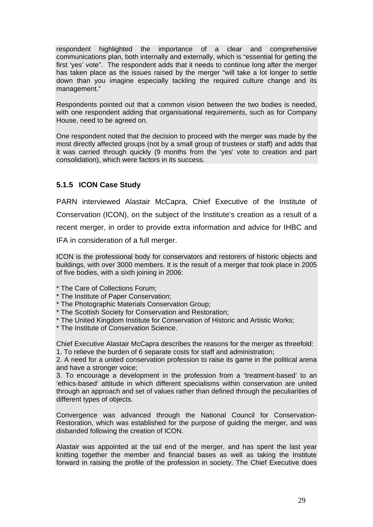respondent highlighted the importance of a clear and comprehensive communications plan, both internally and externally, which is "essential for getting the first 'yes' vote". The respondent adds that it needs to continue long after the merger has taken place as the issues raised by the merger "will take a lot longer to settle down than you imagine especially tackling the required culture change and its management."

Respondents pointed out that a common vision between the two bodies is needed, with one respondent adding that organisational requirements, such as for Company House, need to be agreed on.

One respondent noted that the decision to proceed with the merger was made by the most directly affected groups (not by a small group of trustees or staff) and adds that it was carried through quickly (9 months from the 'yes' vote to creation and part consolidation), which were factors in its success.

## **5.1.5 ICON Case Study**

PARN interviewed Alastair McCapra, Chief Executive of the Institute of Conservation (ICON), on the subject of the Institute's creation as a result of a recent merger, in order to provide extra information and advice for IHBC and IFA in consideration of a full merger.

ICON is the professional body for conservators and restorers of historic objects and buildings, with over 3000 members. It is the result of a merger that took place in 2005 of five bodies, with a sixth joining in 2006:

\* The Care of Collections Forum;

- \* The Institute of Paper Conservation;
- \* The Photographic Materials Conservation Group;
- \* The Scottish Society for Conservation and Restoration;
- \* The United Kingdom Institute for Conservation of Historic and Artistic Works;
- \* The Institute of Conservation Science.

Chief Executive Alastair McCapra describes the reasons for the merger as threefold: 1. To relieve the burden of 6 separate costs for staff and administration;

2. A need for a united conservation profession to raise its game in the political arena and have a stronger voice;

3. To encourage a development in the profession from a 'treatment-based' to an 'ethics-based' attitude in which different specialisms within conservation are united through an approach and set of values rather than defined through the peculiarities of different types of objects.

Convergence was advanced through the National Council for Conservation-Restoration, which was established for the purpose of guiding the merger, and was disbanded following the creation of ICON.

Alastair was appointed at the tail end of the merger, and has spent the last year knitting together the member and financial bases as well as taking the Institute forward in raising the profile of the profession in society. The Chief Executive does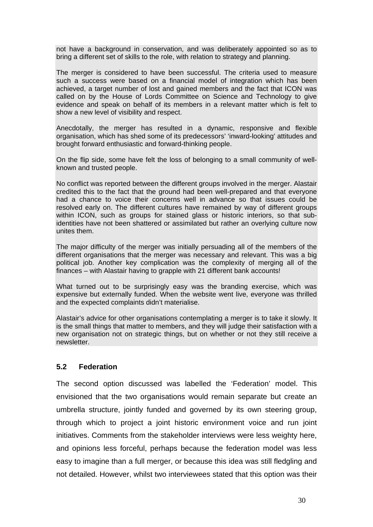not have a background in conservation, and was deliberately appointed so as to bring a different set of skills to the role, with relation to strategy and planning.

The merger is considered to have been successful. The criteria used to measure such a success were based on a financial model of integration which has been achieved, a target number of lost and gained members and the fact that ICON was called on by the House of Lords Committee on Science and Technology to give evidence and speak on behalf of its members in a relevant matter which is felt to show a new level of visibility and respect.

Anecdotally, the merger has resulted in a dynamic, responsive and flexible organisation, which has shed some of its predecessors' 'inward-looking' attitudes and brought forward enthusiastic and forward-thinking people.

On the flip side, some have felt the loss of belonging to a small community of wellknown and trusted people.

No conflict was reported between the different groups involved in the merger. Alastair credited this to the fact that the ground had been well-prepared and that everyone had a chance to voice their concerns well in advance so that issues could be resolved early on. The different cultures have remained by way of different groups within ICON, such as groups for stained glass or historic interiors, so that subidentities have not been shattered or assimilated but rather an overlying culture now unites them.

The major difficulty of the merger was initially persuading all of the members of the different organisations that the merger was necessary and relevant. This was a big political job. Another key complication was the complexity of merging all of the finances – with Alastair having to grapple with 21 different bank accounts!

What turned out to be surprisingly easy was the branding exercise, which was expensive but externally funded. When the website went live, everyone was thrilled and the expected complaints didn't materialise.

Alastair's advice for other organisations contemplating a merger is to take it slowly. It is the small things that matter to members, and they will judge their satisfaction with a new organisation not on strategic things, but on whether or not they still receive a newsletter.

#### **5.2 Federation**

The second option discussed was labelled the 'Federation' model. This envisioned that the two organisations would remain separate but create an umbrella structure, jointly funded and governed by its own steering group, through which to project a joint historic environment voice and run joint initiatives. Comments from the stakeholder interviews were less weighty here, and opinions less forceful, perhaps because the federation model was less easy to imagine than a full merger, or because this idea was still fledgling and not detailed. However, whilst two interviewees stated that this option was their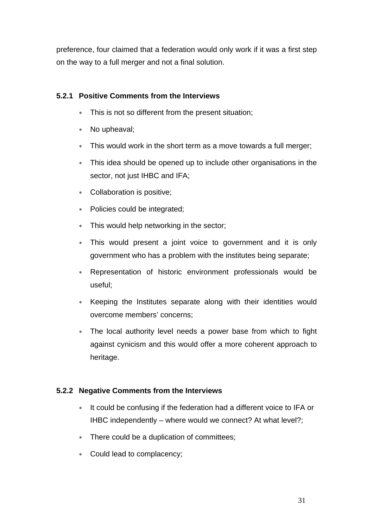preference, four claimed that a federation would only work if it was a first step on the way to a full merger and not a final solution.

## **5.2.1 Positive Comments from the Interviews**

- ∗ This is not so different from the present situation;
- ∗ No upheaval;
- ∗ This would work in the short term as a move towards a full merger;
- ∗ This idea should be opened up to include other organisations in the sector, not just IHBC and IFA;
- ∗ Collaboration is positive;
- ∗ Policies could be integrated;
- ∗ This would help networking in the sector;
- ∗ This would present a joint voice to government and it is only government who has a problem with the institutes being separate;
- ∗ Representation of historic environment professionals would be useful;
- ∗ Keeping the Institutes separate along with their identities would overcome members' concerns;
- ∗ The local authority level needs a power base from which to fight against cynicism and this would offer a more coherent approach to heritage.

## **5.2.2 Negative Comments from the Interviews**

- ∗ It could be confusing if the federation had a different voice to IFA or IHBC independently – where would we connect? At what level?;
- ∗ There could be a duplication of committees;
- ∗ Could lead to complacency;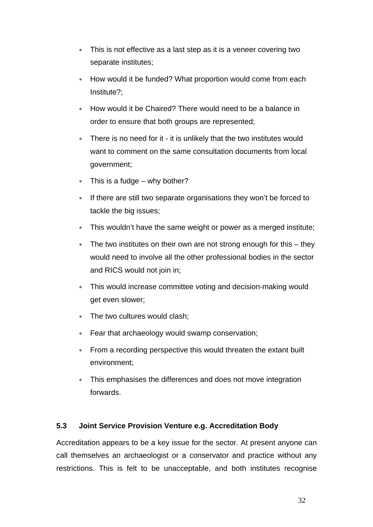- ∗ This is not effective as a last step as it is a veneer covering two separate institutes;
- How would it be funded? What proportion would come from each Institute?;
- ∗ How would it be Chaired? There would need to be a balance in order to ensure that both groups are represented;
- ∗ There is no need for it it is unlikely that the two institutes would want to comment on the same consultation documents from local government;
- ∗ This is a fudge why bother?
- ∗ If there are still two separate organisations they won't be forced to tackle the big issues;
- ∗ This wouldn't have the same weight or power as a merged institute;
- ∗ The two institutes on their own are not strong enough for this they would need to involve all the other professional bodies in the sector and RICS would not join in;
- This would increase committee voting and decision-making would get even slower;
- ∗ The two cultures would clash;
- ∗ Fear that archaeology would swamp conservation;
- ∗ From a recording perspective this would threaten the extant built environment;
- This emphasises the differences and does not move integration forwards.

## **5.3 Joint Service Provision Venture e.g. Accreditation Body**

Accreditation appears to be a key issue for the sector. At present anyone can call themselves an archaeologist or a conservator and practice without any restrictions. This is felt to be unacceptable, and both institutes recognise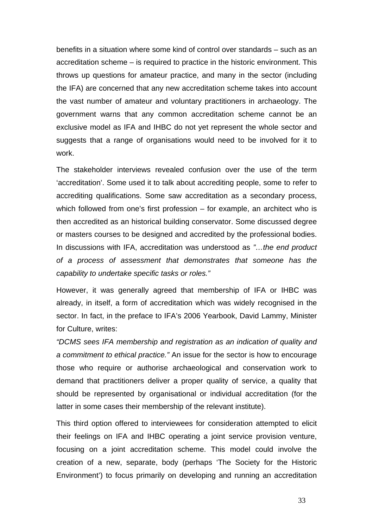benefits in a situation where some kind of control over standards – such as an accreditation scheme – is required to practice in the historic environment. This throws up questions for amateur practice, and many in the sector (including the IFA) are concerned that any new accreditation scheme takes into account the vast number of amateur and voluntary practitioners in archaeology. The government warns that any common accreditation scheme cannot be an exclusive model as IFA and IHBC do not yet represent the whole sector and suggests that a range of organisations would need to be involved for it to work.

The stakeholder interviews revealed confusion over the use of the term 'accreditation'. Some used it to talk about accrediting people, some to refer to accrediting qualifications. Some saw accreditation as a secondary process, which followed from one's first profession – for example, an architect who is then accredited as an historical building conservator. Some discussed degree or masters courses to be designed and accredited by the professional bodies. In discussions with IFA, accreditation was understood as *"…the end product of a process of assessment that demonstrates that someone has the capability to undertake specific tasks or roles."*

However, it was generally agreed that membership of IFA or IHBC was already, in itself, a form of accreditation which was widely recognised in the sector. In fact, in the preface to IFA's 2006 Yearbook, David Lammy, Minister for Culture, writes:

*"DCMS sees IFA membership and registration as an indication of quality and a commitment to ethical practice."* An issue for the sector is how to encourage those who require or authorise archaeological and conservation work to demand that practitioners deliver a proper quality of service, a quality that should be represented by organisational or individual accreditation (for the latter in some cases their membership of the relevant institute).

This third option offered to interviewees for consideration attempted to elicit their feelings on IFA and IHBC operating a joint service provision venture, focusing on a joint accreditation scheme. This model could involve the creation of a new, separate, body (perhaps 'The Society for the Historic Environment') to focus primarily on developing and running an accreditation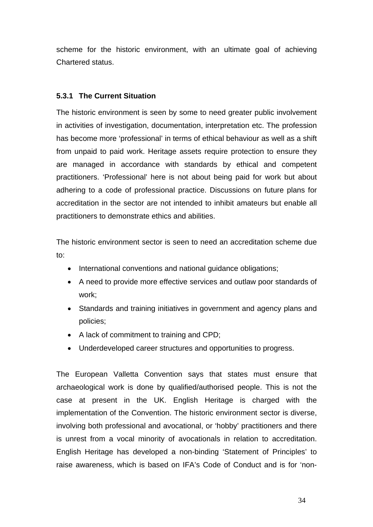scheme for the historic environment, with an ultimate goal of achieving Chartered status.

## **5.3.1 The Current Situation**

The historic environment is seen by some to need greater public involvement in activities of investigation, documentation, interpretation etc. The profession has become more 'professional' in terms of ethical behaviour as well as a shift from unpaid to paid work. Heritage assets require protection to ensure they are managed in accordance with standards by ethical and competent practitioners. 'Professional' here is not about being paid for work but about adhering to a code of professional practice. Discussions on future plans for accreditation in the sector are not intended to inhibit amateurs but enable all practitioners to demonstrate ethics and abilities.

The historic environment sector is seen to need an accreditation scheme due to:

- International conventions and national guidance obligations;
- A need to provide more effective services and outlaw poor standards of work;
- Standards and training initiatives in government and agency plans and policies;
- A lack of commitment to training and CPD;
- Underdeveloped career structures and opportunities to progress.

The European Valletta Convention says that states must ensure that archaeological work is done by qualified/authorised people. This is not the case at present in the UK. English Heritage is charged with the implementation of the Convention. The historic environment sector is diverse, involving both professional and avocational, or 'hobby' practitioners and there is unrest from a vocal minority of avocationals in relation to accreditation. English Heritage has developed a non-binding 'Statement of Principles' to raise awareness, which is based on IFA's Code of Conduct and is for 'non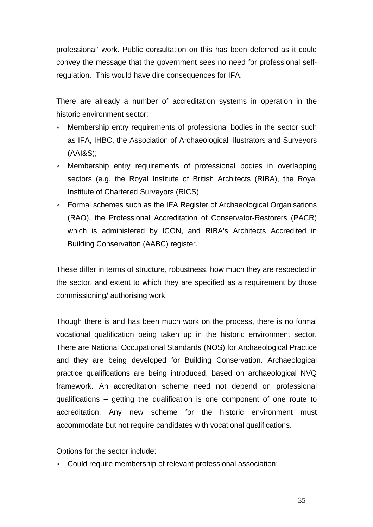professional' work. Public consultation on this has been deferred as it could convey the message that the government sees no need for professional selfregulation. This would have dire consequences for IFA.

There are already a number of accreditation systems in operation in the historic environment sector:

- ∗ Membership entry requirements of professional bodies in the sector such as IFA, IHBC, the Association of Archaeological Illustrators and Surveyors (AAI&S);
- ∗ Membership entry requirements of professional bodies in overlapping sectors (e.g. the Royal Institute of British Architects (RIBA), the Royal Institute of Chartered Surveyors (RICS);
- ∗ Formal schemes such as the IFA Register of Archaeological Organisations (RAO), the Professional Accreditation of Conservator-Restorers (PACR) which is administered by ICON, and RIBA's Architects Accredited in Building Conservation (AABC) register.

These differ in terms of structure, robustness, how much they are respected in the sector, and extent to which they are specified as a requirement by those commissioning/ authorising work.

Though there is and has been much work on the process, there is no formal vocational qualification being taken up in the historic environment sector. There are National Occupational Standards (NOS) for Archaeological Practice and they are being developed for Building Conservation. Archaeological practice qualifications are being introduced, based on archaeological NVQ framework. An accreditation scheme need not depend on professional qualifications – getting the qualification is one component of one route to accreditation. Any new scheme for the historic environment must accommodate but not require candidates with vocational qualifications.

Options for the sector include:

∗ Could require membership of relevant professional association;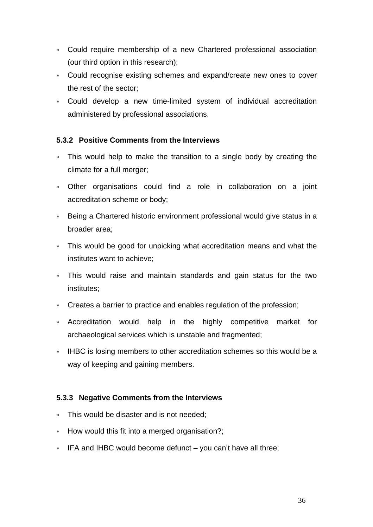- ∗ Could require membership of a new Chartered professional association (our third option in this research);
- ∗ Could recognise existing schemes and expand/create new ones to cover the rest of the sector;
- ∗ Could develop a new time-limited system of individual accreditation administered by professional associations.

## **5.3.2 Positive Comments from the Interviews**

- ∗ This would help to make the transition to a single body by creating the climate for a full merger;
- ∗ Other organisations could find a role in collaboration on a joint accreditation scheme or body;
- ∗ Being a Chartered historic environment professional would give status in a broader area;
- ∗ This would be good for unpicking what accreditation means and what the institutes want to achieve;
- ∗ This would raise and maintain standards and gain status for the two institutes;
- ∗ Creates a barrier to practice and enables regulation of the profession;
- ∗ Accreditation would help in the highly competitive market for archaeological services which is unstable and fragmented;
- ∗ IHBC is losing members to other accreditation schemes so this would be a way of keeping and gaining members.

## **5.3.3 Negative Comments from the Interviews**

- ∗ This would be disaster and is not needed;
- ∗ How would this fit into a merged organisation?;
- ∗ IFA and IHBC would become defunct you can't have all three;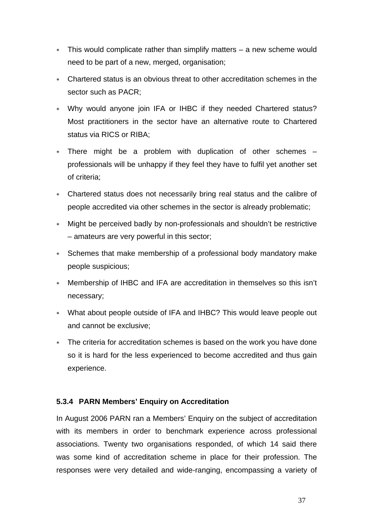- ∗ This would complicate rather than simplify matters a new scheme would need to be part of a new, merged, organisation;
- ∗ Chartered status is an obvious threat to other accreditation schemes in the sector such as PACR;
- ∗ Why would anyone join IFA or IHBC if they needed Chartered status? Most practitioners in the sector have an alternative route to Chartered status via RICS or RIBA;
- ∗ There might be a problem with duplication of other schemes professionals will be unhappy if they feel they have to fulfil yet another set of criteria;
- ∗ Chartered status does not necessarily bring real status and the calibre of people accredited via other schemes in the sector is already problematic;
- ∗ Might be perceived badly by non-professionals and shouldn't be restrictive – amateurs are very powerful in this sector;
- ∗ Schemes that make membership of a professional body mandatory make people suspicious;
- ∗ Membership of IHBC and IFA are accreditation in themselves so this isn't necessary;
- ∗ What about people outside of IFA and IHBC? This would leave people out and cannot be exclusive;
- ∗ The criteria for accreditation schemes is based on the work you have done so it is hard for the less experienced to become accredited and thus gain experience.

## **5.3.4 PARN Members' Enquiry on Accreditation**

In August 2006 PARN ran a Members' Enquiry on the subject of accreditation with its members in order to benchmark experience across professional associations. Twenty two organisations responded, of which 14 said there was some kind of accreditation scheme in place for their profession. The responses were very detailed and wide-ranging, encompassing a variety of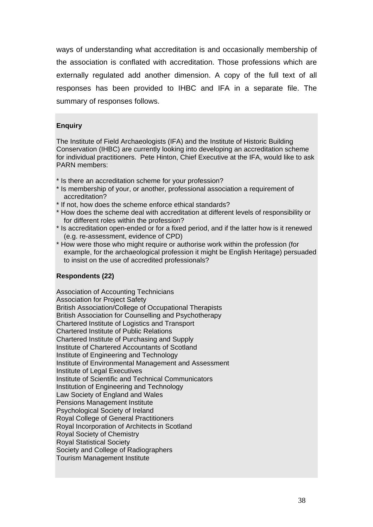ways of understanding what accreditation is and occasionally membership of the association is conflated with accreditation. Those professions which are externally regulated add another dimension. A copy of the full text of all responses has been provided to IHBC and IFA in a separate file. The summary of responses follows.

#### **Enquiry**

The Institute of Field Archaeologists (IFA) and the Institute of Historic Building Conservation (IHBC) are currently looking into developing an accreditation scheme for individual practitioners. Pete Hinton, Chief Executive at the IFA, would like to ask PARN members:

- \* Is there an accreditation scheme for your profession?
- \* Is membership of your, or another, professional association a requirement of accreditation?
- \* If not, how does the scheme enforce ethical standards?
- \* How does the scheme deal with accreditation at different levels of responsibility or for different roles within the profession?
- \* Is accreditation open-ended or for a fixed period, and if the latter how is it renewed (e.g. re-assessment, evidence of CPD)
- \* How were those who might require or authorise work within the profession (for example, for the archaeological profession it might be English Heritage) persuaded to insist on the use of accredited professionals?

#### **Respondents (22)**

Association of Accounting Technicians Association for Project Safety British Association/College of Occupational Therapists British Association for Counselling and Psychotherapy Chartered Institute of Logistics and Transport Chartered Institute of Public Relations Chartered Institute of Purchasing and Supply Institute of Chartered Accountants of Scotland Institute of Engineering and Technology Institute of Environmental Management and Assessment Institute of Legal Executives Institute of Scientific and Technical Communicators Institution of Engineering and Technology Law Society of England and Wales Pensions Management Institute Psychological Society of Ireland Royal College of General Practitioners Royal Incorporation of Architects in Scotland Royal Society of Chemistry Royal Statistical Society Society and College of Radiographers Tourism Management Institute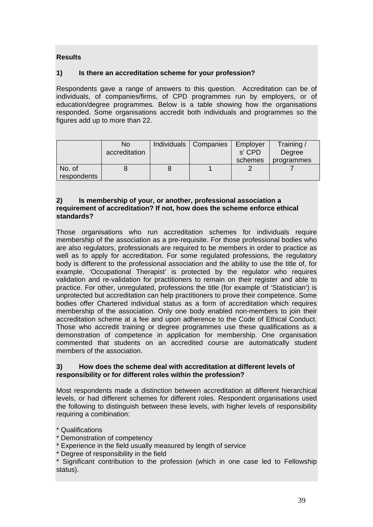## **Results**

#### **1) Is there an accreditation scheme for your profession?**

Respondents gave a range of answers to this question. Accreditation can be of individuals, of companies/firms, of CPD programmes run by employers, or of education/degree programmes. Below is a table showing how the organisations responded. Some organisations accredit both individuals and programmes so the figures add up to more than 22.

|             | No<br>accreditation | Individuals   Companies | Employer<br>s' CPD<br>schemes | Training/<br>Degree<br>programmes |
|-------------|---------------------|-------------------------|-------------------------------|-----------------------------------|
| No. of      |                     |                         |                               |                                   |
| respondents |                     |                         |                               |                                   |

#### **2) Is membership of your, or another, professional association a requirement of accreditation? If not, how does the scheme enforce ethical standards?**

Those organisations who run accreditation schemes for individuals require membership of the association as a pre-requisite. For those professional bodies who are also regulators, professionals are required to be members in order to practice as well as to apply for accreditation. For some regulated professions, the regulatory body is different to the professional association and the ability to use the title of, for example, 'Occupational Therapist' is protected by the regulator who requires validation and re-validation for practitioners to remain on their register and able to practice. For other, unregulated, professions the title (for example of 'Statistician') is unprotected but accreditation can help practitioners to prove their competence. Some bodies offer Chartered individual status as a form of accreditation which requires membership of the association. Only one body enabled non-members to join their accreditation scheme at a fee and upon adherence to the Code of Ethical Conduct. Those who accredit training or degree programmes use these qualifications as a demonstration of competence in application for membership. One organisation commented that students on an accredited course are automatically student members of the association.

#### **3) How does the scheme deal with accreditation at different levels of responsibility or for different roles within the profession?**

Most respondents made a distinction between accreditation at different hierarchical levels, or had different schemes for different roles. Respondent organisations used the following to distinguish between these levels, with higher levels of responsibility requiring a combination:

\* Qualifications

- \* Demonstration of competency
- Experience in the field usually measured by length of service
- \* Degree of responsibility in the field

\* Significant contribution to the profession (which in one case led to Fellowship status).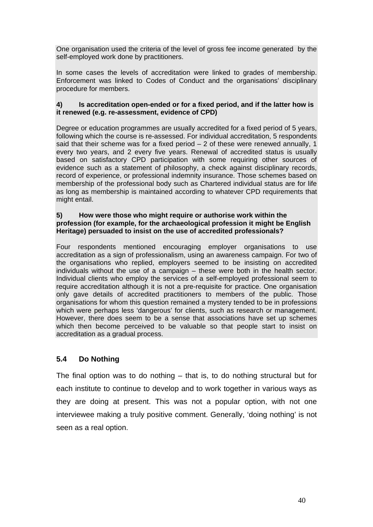One organisation used the criteria of the level of gross fee income generated by the self-employed work done by practitioners.

In some cases the levels of accreditation were linked to grades of membership. Enforcement was linked to Codes of Conduct and the organisations' disciplinary procedure for members.

#### **4) Is accreditation open-ended or for a fixed period, and if the latter how is it renewed (e.g. re-assessment, evidence of CPD)**

Degree or education programmes are usually accredited for a fixed period of 5 years, following which the course is re-assessed. For individual accreditation, 5 respondents said that their scheme was for a fixed period  $-2$  of these were renewed annually, 1 every two years, and 2 every five years. Renewal of accredited status is usually based on satisfactory CPD participation with some requiring other sources of evidence such as a statement of philosophy, a check against disciplinary records, record of experience, or professional indemnity insurance. Those schemes based on membership of the professional body such as Chartered individual status are for life as long as membership is maintained according to whatever CPD requirements that might entail.

#### **5) How were those who might require or authorise work within the profession (for example, for the archaeological profession it might be English Heritage) persuaded to insist on the use of accredited professionals?**

Four respondents mentioned encouraging employer organisations to use accreditation as a sign of professionalism, using an awareness campaign. For two of the organisations who replied, employers seemed to be insisting on accredited individuals without the use of a campaign – these were both in the health sector. Individual clients who employ the services of a self-employed professional seem to require accreditation although it is not a pre-requisite for practice. One organisation only gave details of accredited practitioners to members of the public. Those organisations for whom this question remained a mystery tended to be in professions which were perhaps less 'dangerous' for clients, such as research or management. However, there does seem to be a sense that associations have set up schemes which then become perceived to be valuable so that people start to insist on accreditation as a gradual process.

## **5.4 Do Nothing**

The final option was to do nothing – that is, to do nothing structural but for each institute to continue to develop and to work together in various ways as they are doing at present. This was not a popular option, with not one interviewee making a truly positive comment. Generally, 'doing nothing' is not seen as a real option.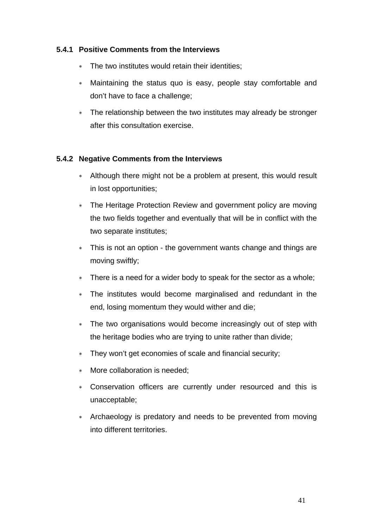## **5.4.1 Positive Comments from the Interviews**

- The two institutes would retain their identities:
- Maintaining the status quo is easy, people stay comfortable and don't have to face a challenge;
- ∗ The relationship between the two institutes may already be stronger after this consultation exercise.

## **5.4.2 Negative Comments from the Interviews**

- ∗ Although there might not be a problem at present, this would result in lost opportunities;
- ∗ The Heritage Protection Review and government policy are moving the two fields together and eventually that will be in conflict with the two separate institutes;
- ∗ This is not an option the government wants change and things are moving swiftly;
- ∗ There is a need for a wider body to speak for the sector as a whole;
- ∗ The institutes would become marginalised and redundant in the end, losing momentum they would wither and die;
- ∗ The two organisations would become increasingly out of step with the heritage bodies who are trying to unite rather than divide;
- ∗ They won't get economies of scale and financial security;
- More collaboration is needed;
- ∗ Conservation officers are currently under resourced and this is unacceptable;
- ∗ Archaeology is predatory and needs to be prevented from moving into different territories.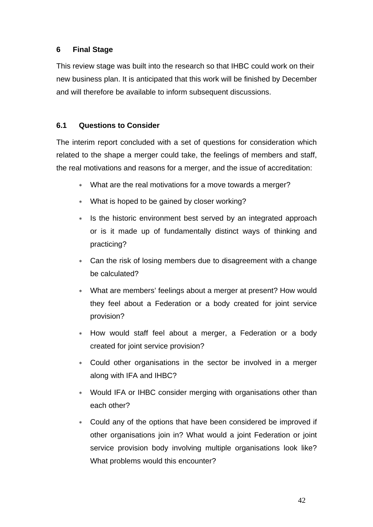## **6 Final Stage**

This review stage was built into the research so that IHBC could work on their new business plan. It is anticipated that this work will be finished by December and will therefore be available to inform subsequent discussions.

## **6.1 Questions to Consider**

The interim report concluded with a set of questions for consideration which related to the shape a merger could take, the feelings of members and staff, the real motivations and reasons for a merger, and the issue of accreditation:

- ∗ What are the real motivations for a move towards a merger?
- ∗ What is hoped to be gained by closer working?
- ∗ Is the historic environment best served by an integrated approach or is it made up of fundamentally distinct ways of thinking and practicing?
- ∗ Can the risk of losing members due to disagreement with a change be calculated?
- ∗ What are members' feelings about a merger at present? How would they feel about a Federation or a body created for joint service provision?
- How would staff feel about a merger, a Federation or a body created for joint service provision?
- ∗ Could other organisations in the sector be involved in a merger along with IFA and IHBC?
- Would IFA or IHBC consider merging with organisations other than each other?
- ∗ Could any of the options that have been considered be improved if other organisations join in? What would a joint Federation or joint service provision body involving multiple organisations look like? What problems would this encounter?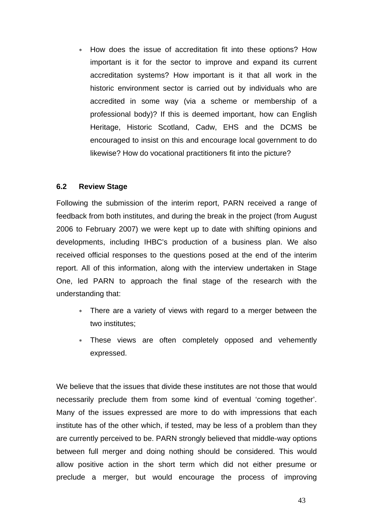∗ How does the issue of accreditation fit into these options? How important is it for the sector to improve and expand its current accreditation systems? How important is it that all work in the historic environment sector is carried out by individuals who are accredited in some way (via a scheme or membership of a professional body)? If this is deemed important, how can English Heritage, Historic Scotland, Cadw, EHS and the DCMS be encouraged to insist on this and encourage local government to do likewise? How do vocational practitioners fit into the picture?

#### **6.2 Review Stage**

Following the submission of the interim report, PARN received a range of feedback from both institutes, and during the break in the project (from August 2006 to February 2007) we were kept up to date with shifting opinions and developments, including IHBC's production of a business plan. We also received official responses to the questions posed at the end of the interim report. All of this information, along with the interview undertaken in Stage One, led PARN to approach the final stage of the research with the understanding that:

- ∗ There are a variety of views with regard to a merger between the two institutes;
- ∗ These views are often completely opposed and vehemently expressed.

We believe that the issues that divide these institutes are not those that would necessarily preclude them from some kind of eventual 'coming together'. Many of the issues expressed are more to do with impressions that each institute has of the other which, if tested, may be less of a problem than they are currently perceived to be. PARN strongly believed that middle-way options between full merger and doing nothing should be considered. This would allow positive action in the short term which did not either presume or preclude a merger, but would encourage the process of improving

43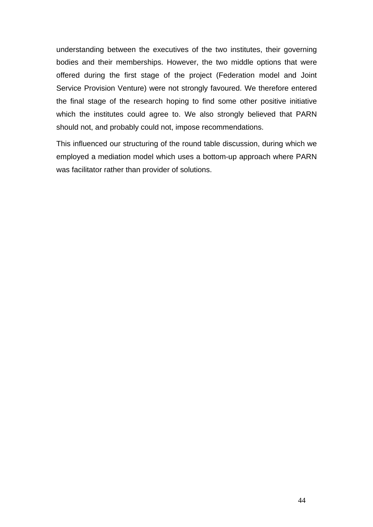understanding between the executives of the two institutes, their governing bodies and their memberships. However, the two middle options that were offered during the first stage of the project (Federation model and Joint Service Provision Venture) were not strongly favoured. We therefore entered the final stage of the research hoping to find some other positive initiative which the institutes could agree to. We also strongly believed that PARN should not, and probably could not, impose recommendations.

This influenced our structuring of the round table discussion, during which we employed a mediation model which uses a bottom-up approach where PARN was facilitator rather than provider of solutions.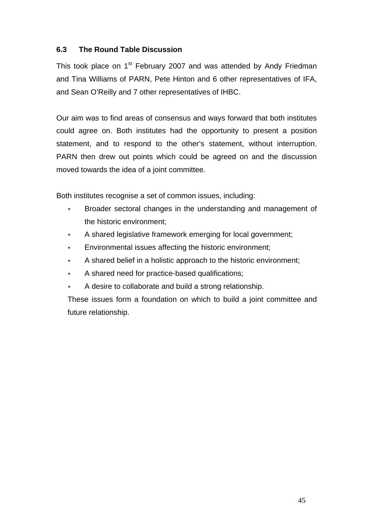## **6.3 The Round Table Discussion**

This took place on 1<sup>st</sup> February 2007 and was attended by Andy Friedman and Tina Williams of PARN, Pete Hinton and 6 other representatives of IFA, and Sean O'Reilly and 7 other representatives of IHBC.

Our aim was to find areas of consensus and ways forward that both institutes could agree on. Both institutes had the opportunity to present a position statement, and to respond to the other's statement, without interruption. PARN then drew out points which could be agreed on and the discussion moved towards the idea of a joint committee.

Both institutes recognise a set of common issues, including:

- Broader sectoral changes in the understanding and management of the historic environment;
- ∗ A shared legislative framework emerging for local government;
- Environmental issues affecting the historic environment;
- A shared belief in a holistic approach to the historic environment;
- A shared need for practice-based qualifications;
- A desire to collaborate and build a strong relationship.

These issues form a foundation on which to build a joint committee and future relationship.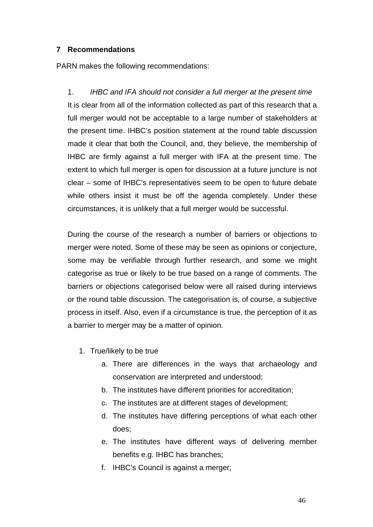## **7 Recommendations**

PARN makes the following recommendations:

1. *IHBC and IFA should not consider a full merger at the present time* It is clear from all of the information collected as part of this research that a full merger would not be acceptable to a large number of stakeholders at the present time. IHBC's position statement at the round table discussion made it clear that both the Council, and, they believe, the membership of IHBC are firmly against a full merger with IFA at the present time. The extent to which full merger is open for discussion at a future juncture is not clear – some of IHBC's representatives seem to be open to future debate while others insist it must be off the agenda completely. Under these circumstances, it is unlikely that a full merger would be successful.

During the course of the research a number of barriers or objections to merger were noted. Some of these may be seen as opinions or conjecture, some may be verifiable through further research, and some we might categorise as true or likely to be true based on a range of comments. The barriers or objections categorised below were all raised during interviews or the round table discussion. The categorisation is, of course, a subjective process in itself. Also, even if a circumstance is true, the perception of it as a barrier to merger may be a matter of opinion.

- 1. True/likely to be true
	- a. There are differences in the ways that archaeology and conservation are interpreted and understood;
	- b. The institutes have different priorities for accreditation;
	- c. The institutes are at different stages of development;
	- d. The institutes have differing perceptions of what each other does;
	- e. The institutes have different ways of delivering member benefits e.g. IHBC has branches;
	- f. IHBC's Council is against a merger;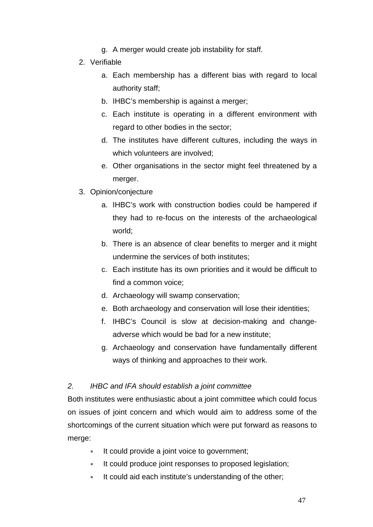- g. A merger would create job instability for staff.
- 2. Verifiable
	- a. Each membership has a different bias with regard to local authority staff;
	- b. IHBC's membership is against a merger;
	- c. Each institute is operating in a different environment with regard to other bodies in the sector;
	- d. The institutes have different cultures, including the ways in which volunteers are involved;
	- e. Other organisations in the sector might feel threatened by a merger.
- 3. Opinion/conjecture
	- a. IHBC's work with construction bodies could be hampered if they had to re-focus on the interests of the archaeological world;
	- b. There is an absence of clear benefits to merger and it might undermine the services of both institutes;
	- c. Each institute has its own priorities and it would be difficult to find a common voice;
	- d. Archaeology will swamp conservation;
	- e. Both archaeology and conservation will lose their identities;
	- f. IHBC's Council is slow at decision-making and changeadverse which would be bad for a new institute;
	- g. Archaeology and conservation have fundamentally different ways of thinking and approaches to their work.

## *2. IHBC and IFA should establish a joint committee*

Both institutes were enthusiastic about a joint committee which could focus on issues of joint concern and which would aim to address some of the shortcomings of the current situation which were put forward as reasons to merge:

- ∗ It could provide a joint voice to government;
- ∗ It could produce joint responses to proposed legislation;
- ∗ It could aid each institute's understanding of the other;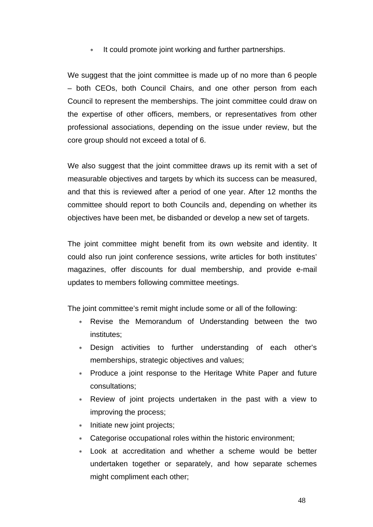∗ It could promote joint working and further partnerships.

We suggest that the joint committee is made up of no more than 6 people – both CEOs, both Council Chairs, and one other person from each Council to represent the memberships. The joint committee could draw on the expertise of other officers, members, or representatives from other professional associations, depending on the issue under review, but the core group should not exceed a total of 6.

We also suggest that the joint committee draws up its remit with a set of measurable objectives and targets by which its success can be measured, and that this is reviewed after a period of one year. After 12 months the committee should report to both Councils and, depending on whether its objectives have been met, be disbanded or develop a new set of targets.

The joint committee might benefit from its own website and identity. It could also run joint conference sessions, write articles for both institutes' magazines, offer discounts for dual membership, and provide e-mail updates to members following committee meetings.

The joint committee's remit might include some or all of the following:

- Revise the Memorandum of Understanding between the two institutes;
- Design activities to further understanding of each other's memberships, strategic objectives and values;
- ∗ Produce a joint response to the Heritage White Paper and future consultations;
- Review of joint projects undertaken in the past with a view to improving the process;
- ∗ Initiate new joint projects;
- ∗ Categorise occupational roles within the historic environment;
- Look at accreditation and whether a scheme would be better undertaken together or separately, and how separate schemes might compliment each other;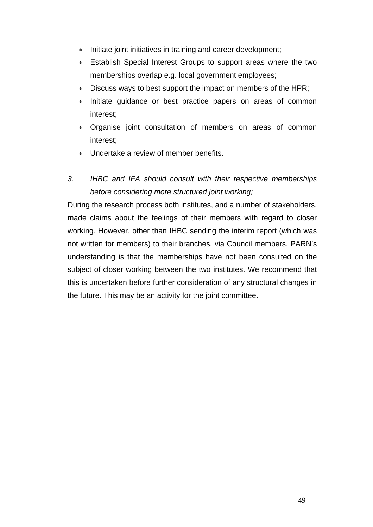- ∗ Initiate joint initiatives in training and career development;
- ∗ Establish Special Interest Groups to support areas where the two memberships overlap e.g. local government employees;
- ∗ Discuss ways to best support the impact on members of the HPR;
- Initiate guidance or best practice papers on areas of common interest;
- ∗ Organise joint consultation of members on areas of common interest;
- Undertake a review of member benefits.

# *3. IHBC and IFA should consult with their respective memberships before considering more structured joint working;*

During the research process both institutes, and a number of stakeholders, made claims about the feelings of their members with regard to closer working. However, other than IHBC sending the interim report (which was not written for members) to their branches, via Council members, PARN's understanding is that the memberships have not been consulted on the subject of closer working between the two institutes. We recommend that this is undertaken before further consideration of any structural changes in the future. This may be an activity for the joint committee.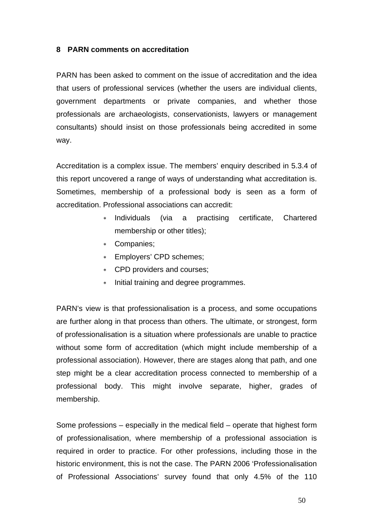## **8 PARN comments on accreditation**

PARN has been asked to comment on the issue of accreditation and the idea that users of professional services (whether the users are individual clients, government departments or private companies, and whether those professionals are archaeologists, conservationists, lawyers or management consultants) should insist on those professionals being accredited in some way.

Accreditation is a complex issue. The members' enquiry described in 5.3.4 of this report uncovered a range of ways of understanding what accreditation is. Sometimes, membership of a professional body is seen as a form of accreditation. Professional associations can accredit:

- ∗ Individuals (via a practising certificate, Chartered membership or other titles);
- ∗ Companies;
- ∗ Employers' CPD schemes;
- ∗ CPD providers and courses;
- ∗ Initial training and degree programmes.

PARN's view is that professionalisation is a process, and some occupations are further along in that process than others. The ultimate, or strongest, form of professionalisation is a situation where professionals are unable to practice without some form of accreditation (which might include membership of a professional association). However, there are stages along that path, and one step might be a clear accreditation process connected to membership of a professional body. This might involve separate, higher, grades of membership.

Some professions – especially in the medical field – operate that highest form of professionalisation, where membership of a professional association is required in order to practice. For other professions, including those in the historic environment, this is not the case. The PARN 2006 'Professionalisation of Professional Associations' survey found that only 4.5% of the 110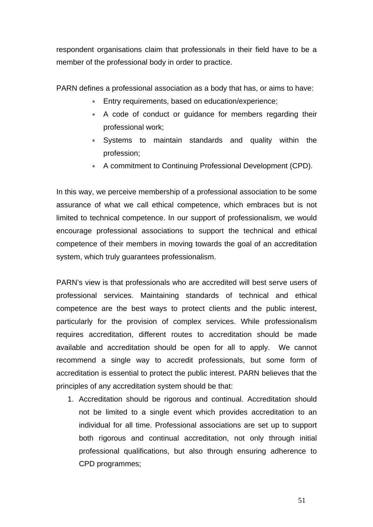respondent organisations claim that professionals in their field have to be a member of the professional body in order to practice.

PARN defines a professional association as a body that has, or aims to have:

- ∗ Entry requirements, based on education/experience;
- ∗ A code of conduct or guidance for members regarding their professional work;
- ∗ Systems to maintain standards and quality within the profession;
- ∗ A commitment to Continuing Professional Development (CPD).

In this way, we perceive membership of a professional association to be some assurance of what we call ethical competence, which embraces but is not limited to technical competence. In our support of professionalism, we would encourage professional associations to support the technical and ethical competence of their members in moving towards the goal of an accreditation system, which truly guarantees professionalism.

PARN's view is that professionals who are accredited will best serve users of professional services. Maintaining standards of technical and ethical competence are the best ways to protect clients and the public interest, particularly for the provision of complex services. While professionalism requires accreditation, different routes to accreditation should be made available and accreditation should be open for all to apply. We cannot recommend a single way to accredit professionals, but some form of accreditation is essential to protect the public interest. PARN believes that the principles of any accreditation system should be that:

1. Accreditation should be rigorous and continual. Accreditation should not be limited to a single event which provides accreditation to an individual for all time. Professional associations are set up to support both rigorous and continual accreditation, not only through initial professional qualifications, but also through ensuring adherence to CPD programmes;